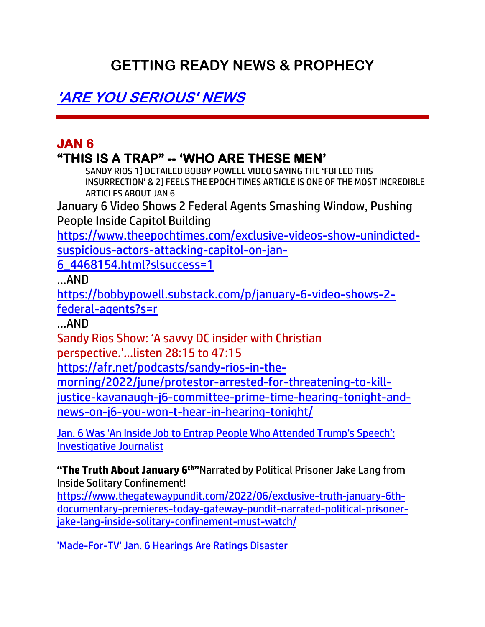# **GETTING READY NEWS & PROPHECY**

**'ARE YOU SERIOUS' NEWS**

# **JAN 6 "THIS IS A TRAP" -- 'WHO ARE THESE MEN'**

SANDY RIOS 1] DETAILED BOBBY POWELL VIDEO SAYING THE 'FBI LED THIS INSURRECTION' & 2] FEELS THE EPOCH TIMES ARTICLE IS ONE OF THE MOST INCREDIBLE ARTICLES ABOUT JAN 6

January 6 Video Shows 2 Federal Agents Smashing Window, Pushing People Inside Capitol Building

[https://www.theepochtimes.com/exclusive-videos-show-unindicted](https://www.theepochtimes.com/exclusive-videos-show-unindicted-suspicious-actors-attacking-capitol-on-jan-6_4468154.html?slsuccess=1)[suspicious-actors-attacking-capitol-on-jan-](https://www.theepochtimes.com/exclusive-videos-show-unindicted-suspicious-actors-attacking-capitol-on-jan-6_4468154.html?slsuccess=1)

[6\\_4468154.html?slsuccess=1](https://www.theepochtimes.com/exclusive-videos-show-unindicted-suspicious-actors-attacking-capitol-on-jan-6_4468154.html?slsuccess=1)

…AND

[https://bobbypowell.substack.com/p/january-6-video-shows-2](https://bobbypowell.substack.com/p/january-6-video-shows-2-federal-agents?s=r) [federal-agents?s=r](https://bobbypowell.substack.com/p/january-6-video-shows-2-federal-agents?s=r)

…AND

Sandy Rios Show: 'A savvy DC insider with Christian

perspective.'…listen 28:15 to 47:15

[https://afr.net/podcasts/sandy-rios-in-the-](https://afr.net/podcasts/sandy-rios-in-the-morning/2022/june/protestor-arrested-for-threatening-to-kill-justice-kavanaugh-j6-committee-prime-time-hearing-tonight-and-news-on-j6-you-won-t-hear-in-hearing-tonight/)

[morning/2022/june/protestor-arrested-for-threatening-to-kill-](https://afr.net/podcasts/sandy-rios-in-the-morning/2022/june/protestor-arrested-for-threatening-to-kill-justice-kavanaugh-j6-committee-prime-time-hearing-tonight-and-news-on-j6-you-won-t-hear-in-hearing-tonight/)

[justice-kavanaugh-j6-committee-prime-time-hearing-tonight-and](https://afr.net/podcasts/sandy-rios-in-the-morning/2022/june/protestor-arrested-for-threatening-to-kill-justice-kavanaugh-j6-committee-prime-time-hearing-tonight-and-news-on-j6-you-won-t-hear-in-hearing-tonight/)[news-on-j6-you-won-t-hear-in-hearing-tonight/](https://afr.net/podcasts/sandy-rios-in-the-morning/2022/june/protestor-arrested-for-threatening-to-kill-justice-kavanaugh-j6-committee-prime-time-hearing-tonight-and-news-on-j6-you-won-t-hear-in-hearing-tonight/)

J[an. 6 Was 'An Inside Job to Entrap People Who Attended Trump's Speech':](https://lists.youmaker.com/links/ZdXyX8GEqy/Jlid8tcrj/7xAbPNiP2/p3bfrogKDw)  [Investigative Journalist](https://lists.youmaker.com/links/ZdXyX8GEqy/Jlid8tcrj/7xAbPNiP2/p3bfrogKDw)

**"The Truth About January 6th"**Narrated by Political Prisoner Jake Lang from Inside Solitary Confinement!

[https://www.thegatewaypundit.com/2022/06/exclusive-truth-january-6th](https://www.thegatewaypundit.com/2022/06/exclusive-truth-january-6th-documentary-premieres-today-gateway-pundit-narrated-political-prisoner-jake-lang-inside-solitary-confinement-must-watch/)[documentary-premieres-today-gateway-pundit-narrated-political-prisoner](https://www.thegatewaypundit.com/2022/06/exclusive-truth-january-6th-documentary-premieres-today-gateway-pundit-narrated-political-prisoner-jake-lang-inside-solitary-confinement-must-watch/)[jake-lang-inside-solitary-confinement-must-watch/](https://www.thegatewaypundit.com/2022/06/exclusive-truth-january-6th-documentary-premieres-today-gateway-pundit-narrated-political-prisoner-jake-lang-inside-solitary-confinement-must-watch/)

['Made-For-TV' Jan. 6 Hearings Are Ratings Disaster](https://www.zerohedge.com/political/made-tv-jan-6-hearings-are-ratings-disaster)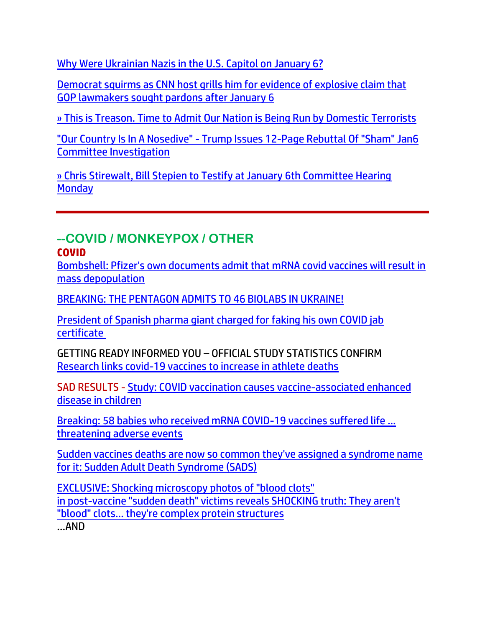[Why Were Ukrainian Nazis in the U.S. Capitol on January 6?](https://www.thegatewaypundit.com/2022/06/ukrainian-nazis-u-s-capitol-january-6/)

[Democrat squirms as CNN host grills him for evidence of explosive claim that](https://link.theblaze.com/click/28039422.1154657/aHR0cHM6Ly93d3cudGhlYmxhemUuY29tL25ld3MvYmFzaC1ncmlsbHMtcmFza2luLWV2aWRlbmNlLWdvcC1sYXdtYWtlcnMtcGFyZG9ucz91dG1fc291cmNlPXRoZWJsYXplLWJyZWFraW5nJnV0bV9tZWRpdW09ZW1haWwmdXRtX2NhbXBhaWduPTIwMjIwNjEzVHJlbmRpbmctQ05OSmFuNiZ1dG1fdGVybT1BQ1RJVkUgTElTVCAtIFRoZUJsYXplIEJyZWFraW5nIE5ld3M/61f82015384ca325d2cdab60C3cfe4637)  [GOP lawmakers sought pardons after January 6](https://link.theblaze.com/click/28039422.1154657/aHR0cHM6Ly93d3cudGhlYmxhemUuY29tL25ld3MvYmFzaC1ncmlsbHMtcmFza2luLWV2aWRlbmNlLWdvcC1sYXdtYWtlcnMtcGFyZG9ucz91dG1fc291cmNlPXRoZWJsYXplLWJyZWFraW5nJnV0bV9tZWRpdW09ZW1haWwmdXRtX2NhbXBhaWduPTIwMjIwNjEzVHJlbmRpbmctQ05OSmFuNiZ1dG1fdGVybT1BQ1RJVkUgTElTVCAtIFRoZUJsYXplIEJyZWFraW5nIE5ld3M/61f82015384ca325d2cdab60C3cfe4637)

» [This is Treason. Time to Admit Our Nation is Being Run by Domestic Terrorists](https://trk.cp20.com/click/gak4-3nfxh3-8bp5wq-f4obzxf4/)

"Our Country Is In A Nosedive" - [Trump Issues 12-Page Rebuttal Of "Sham" Jan6](https://www.zerohedge.com/political/our-country-nosedive-trump-issues-12-page-rebuttal-sham-jan6-committee-investigation)  [Committee Investigation](https://www.zerohedge.com/political/our-country-nosedive-trump-issues-12-page-rebuttal-sham-jan6-committee-investigation)

[» Chris Stirewalt, Bill Stepien to Testify at January 6th Committee Hearing](https://trk.cp20.com/click/gak4-3ng44v-8bp8ll-f4obzxf9/)  **[Monday](https://trk.cp20.com/click/gak4-3ng44v-8bp8ll-f4obzxf9/)** 

#### **--COVID / MONKEYPOX / OTHER COVID**

[Bombshell: Pfizer's own documents admit that mRNA covid vaccines will result in](https://ce-publicdy.naturalnews.com/ct.asp?id=8AFFA5E6F9FDDF24D804131BD6C4449B4A197E7495273208835A3E379C370532A30E1EC89934D018BEAFBB8A8C0C4494&ct=4aeUs2EAAABCWmgzMUFZJlNZR%2f4%2fRgAAFxmAAAPRMC%2fn35AgAEiKek0PUzJqND01PUGNk9UZtRGjQZNJ6EzCG548izWNAGS5VKKFhb3N3kG3PxuMNRFRfcTpuoRWofuC%2fZICMU5lVRAWeFxpVNSSzO9n%2bLuSKcKEgj%2fx%2bjA%3d)  [mass depopulation](https://ce-publicdy.naturalnews.com/ct.asp?id=8AFFA5E6F9FDDF24D804131BD6C4449B4A197E7495273208835A3E379C370532A30E1EC89934D018BEAFBB8A8C0C4494&ct=4aeUs2EAAABCWmgzMUFZJlNZR%2f4%2fRgAAFxmAAAPRMC%2fn35AgAEiKek0PUzJqND01PUGNk9UZtRGjQZNJ6EzCG548izWNAGS5VKKFhb3N3kG3PxuMNRFRfcTpuoRWofuC%2fZICMU5lVRAWeFxpVNSSzO9n%2bLuSKcKEgj%2fx%2bjA%3d)

[BREAKING: THE PENTAGON ADMITS TO 46 BIOLABS IN UKRAINE!](https://welovetrump.com/2022/06/10/breaking-the-pentagon-admits-to-46-biolabs-in-ukraine/)

[President of Spanish pharma giant charged for faking his own COVID jab](https://www.lifesitenews.com/news/president-of-spanish-pharma-giant-charged-for-faking-his-own-covid-jab-certificate/)  [certificate](https://www.lifesitenews.com/news/president-of-spanish-pharma-giant-charged-for-faking-his-own-covid-jab-certificate/)

GETTING READY INFORMED YOU – OFFICIAL STUDY STATISTICS CONFIRM [Research links covid-19 vaccines to increase in athlete deaths](https://ce-publicdy.naturalnews.com/ct.asp?id=5AFA1648D4717960B1B547AE16417747C05E95CBDDD62850E1D02B57947606BC1FB86F880458FFF8BC2808517C6A4600&ct=4aeUs1wAAABCWmgzMUFZJlNZdHy17wAAGRmAAAPRMC7v3YAgAEiIT0mmyNR6mmanoRT9ETT0JhMBBnimoWBke%2bbnYIySBORUj4qi088VdWPrX8uRAxR%2fqO3ZulmTwakBWqjiaSwQmw8M4O7GPxdyRThQkHR8te8%3d)

SAD RESULTS - [Study: COVID vaccination causes vaccine-associated enhanced](https://www.naturalnews.com/2022-06-13-covid-vaccination-causes-vaed-in-children.html)  [disease in children](https://www.naturalnews.com/2022-06-13-covid-vaccination-causes-vaed-in-children.html)

[Breaking: 58 babies who received mRNA COVID-19 vaccines suffered life ...](https://rtmag.co.il/english/breaking-58-babies-who-received-mrna-covid-19-vaccines-suffered-life-threatening-adverse-events) threatening adverse events

[Sudden vaccines deaths are now so common they've assigned a syndrome name](https://ce-publicdy.naturalnews.com/ct.asp?id=4CB5081FAA269FFAAD200063AF710D3F3FA5206E26D3CF2C03ECA69E461EFD001A992E4FB77F979D89F591B52C002FE9&ct=4aeUs5sAAABCWmgzMUFZJlNZGdLRkQAAKRmAAAPRMC%2fn36AgAIoNU8miNqbSnin6o9GgSqfqRhBk9RoaAkVx%2fZ8whkttJWzzCcSvm%2fywI8bbpozUlKoZ3RNDjgkRMqFU8ehWVZQ7pdPxmjprZkYrDZyh8NNkpSoJdXZqjAxY%2fGYpdmA9%2bJSiU%2bSQLH7TmZZ3EPRdyRThQkBnS0ZE)  [for it: Sudden Adult Death Syndrome \(SADS\)](https://ce-publicdy.naturalnews.com/ct.asp?id=4CB5081FAA269FFAAD200063AF710D3F3FA5206E26D3CF2C03ECA69E461EFD001A992E4FB77F979D89F591B52C002FE9&ct=4aeUs5sAAABCWmgzMUFZJlNZGdLRkQAAKRmAAAPRMC%2fn36AgAIoNU8miNqbSnin6o9GgSqfqRhBk9RoaAkVx%2fZ8whkttJWzzCcSvm%2fywI8bbpozUlKoZ3RNDjgkRMqFU8ehWVZQ7pdPxmjprZkYrDZyh8NNkpSoJdXZqjAxY%2fGYpdmA9%2bJSiU%2bSQLH7TmZZ3EPRdyRThQkBnS0ZE)

[EXCLUSIVE: Shocking microscopy photos of "blood clots"](https://www.naturalnews.com/2022-06-12-blood-clots-microscopy-suddenly-died.html) [in post-vaccine "sudden death" victims reveals SHOCKING truth:](https://www.naturalnews.com/2022-06-12-blood-clots-microscopy-suddenly-died.html) They aren't ["blood" clots... they're complex protein structures](https://www.naturalnews.com/2022-06-12-blood-clots-microscopy-suddenly-died.html)

…AND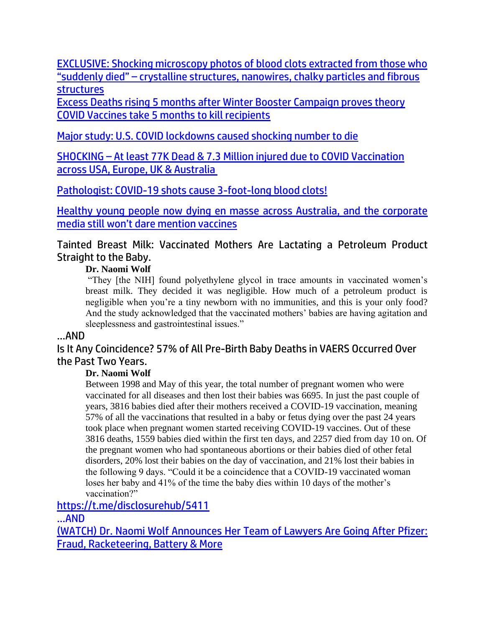[EXCLUSIVE: Shocking microscopy photos of blood clots extracted from those who](https://www.naturalnews.com/2022-06-12-blood-clots-microscopy-suddenly-died.html)  "suddenly died" – [crystalline structures, nanowires, chalky particles and fibrous](https://www.naturalnews.com/2022-06-12-blood-clots-microscopy-suddenly-died.html)  **[structures](https://www.naturalnews.com/2022-06-12-blood-clots-microscopy-suddenly-died.html)** 

[Excess Deaths rising 5 months after Winter Booster Campaign proves theory](https://expose-news.com/2022/06/11/excess-deaths-proves-covid-vaccines-take-5-months/)  [COVID Vaccines take 5 months to kill recipients](https://expose-news.com/2022/06/11/excess-deaths-proves-covid-vaccines-take-5-months/)

[Major study: U.S. COVID lockdowns caused shocking number to die](https://www.wnd.com/2022/06/major-study-u-s-covid-lockdowns-caused-least-170000-die/)

SHOCKING – [At least 77K Dead & 7.3 Million injured due to COVID Vaccination](https://expose-news.com/2022/06/11/77k-dead-7million-injured-covid-vaccine-us-uk-eu/)  [across USA, Europe, UK & Australia](https://expose-news.com/2022/06/11/77k-dead-7million-injured-covid-vaccine-us-uk-eu/)

[Pathologist: COVID-19 shots cause 3-foot-long blood clots!](https://www.wnd.com/2022/06/pathologist-covid-19-shots-causing-foot-long-blood-clots/)

[Healthy young people now dying en masse across Australia, and the corporate](https://www.naturalnews.com/2022-06-12-healthy-young-people-now-dying-en-masse-across-australia.html)  [media still won't dare mention vaccines](https://www.naturalnews.com/2022-06-12-healthy-young-people-now-dying-en-masse-across-australia.html)

Tainted Breast Milk: Vaccinated Mothers Are Lactating a Petroleum Product Straight to the Baby.

#### **Dr. Naomi Wolf**

"They [the NIH] found polyethylene glycol in trace amounts in vaccinated women's breast milk. They decided it was negligible. How much of a petroleum product is negligible when you're a tiny newborn with no immunities, and this is your only food? And the study acknowledged that the vaccinated mothers' babies are having agitation and sleeplessness and gastrointestinal issues."

#### …AND

Is It Any Coincidence? 57% of All Pre-Birth Baby Deaths in VAERS Occurred Over the Past Two Years.

#### **Dr. Naomi Wolf**

Between 1998 and May of this year, the total number of pregnant women who were vaccinated for all diseases and then lost their babies was 6695. In just the past couple of years, 3816 babies died after their mothers received a COVID-19 vaccination, meaning 57% of all the vaccinations that resulted in a baby or fetus dying over the past 24 years took place when pregnant women started receiving COVID-19 vaccines. Out of these 3816 deaths, 1559 babies died within the first ten days, and 2257 died from day 10 on. Of the pregnant women who had spontaneous abortions or their babies died of other fetal disorders, 20% lost their babies on the day of vaccination, and 21% lost their babies in the following 9 days. "Could it be a coincidence that a COVID-19 vaccinated woman loses her baby and 41% of the time the baby dies within 10 days of the mother's vaccination?"

<https://t.me/disclosurehub/5411>

…AND

[\(WATCH\) Dr. Naomi Wolf Announces Her Team of Lawyers Are Going After Pfizer:](https://welovetrump.com/2022/06/11/watch-dr-naomi-wolf-announces-her-team-of-lawyers-are-going-after-pfizer-fraud-racketeering-battery-more/)  [Fraud, Racketeering, Battery & More](https://welovetrump.com/2022/06/11/watch-dr-naomi-wolf-announces-her-team-of-lawyers-are-going-after-pfizer-fraud-racketeering-battery-more/)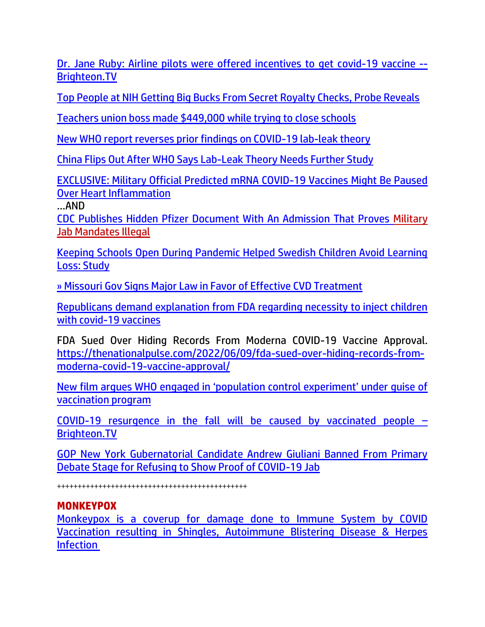[Dr. Jane Ruby: Airline pilots were offered incentives to get covid-19 vaccine --](https://ce-publicdy.naturalnews.com/ct.asp?id=3298E988727E02A347789F471A0CCE4B388735875909E7C95172C6CEF5DA669FD2C2EF076DA66803D865CA461CF96204&ct=4aeUs14AAABCWmgzMUFZJlNZffSnqQAAGBmAAAPRMC%2fn3YAgAFCgAADJkFGTSZ6gTRkzUekN7o6pGS0zQTY4qtCoL%2fYwltIxYZGmIfJdDkVQxW3srTeTZ3Eg4oPHRHPRsx2sKkJHGLs%2fi7kinChIPvpT1IA%3d) [Brighteon.TV](https://ce-publicdy.naturalnews.com/ct.asp?id=3298E988727E02A347789F471A0CCE4B388735875909E7C95172C6CEF5DA669FD2C2EF076DA66803D865CA461CF96204&ct=4aeUs14AAABCWmgzMUFZJlNZffSnqQAAGBmAAAPRMC%2fn3YAgAFCgAADJkFGTSZ6gTRkzUekN7o6pGS0zQTY4qtCoL%2fYwltIxYZGmIfJdDkVQxW3srTeTZ3Eg4oPHRHPRsx2sKkJHGLs%2fi7kinChIPvpT1IA%3d)

[Top People at NIH Getting Big Bucks From Secret Royalty Checks, Probe Reveals](https://lists.youmaker.com/links/QJallb07YE/Jlid8tcrj/7xAbPNiP2/lG80Bm9Dje)

[Teachers union boss made \\$449,000 while trying to close schools](https://www.wnd.com/2022/06/teachers-union-boss-made-449000-trying-close-schools/)

[New WHO report reverses prior findings on COVID-19 lab-leak theory](https://link.theblaze.com/click/28017887.1112300/aHR0cHM6Ly93d3cudGhlYmxhemUuY29tL25ld3MvbmV3LXdoby1yZXBvcnQtbGFiLWxlYWstY292aWQ_dXRtX3NvdXJjZT10aGVibGF6ZS1icmVha2luZyZ1dG1fbWVkaXVtPWVtYWlsJnV0bV9jYW1wYWlnbj0yMDIyMDYxMFRyZW5kaW5nLU1vbVNvblNob3QmdXRtX3Rlcm09QUNUSVZFIExJU1QgLSBUaGVCbGF6ZSBCcmVha2luZyBOZXdz/61f82015384ca325d2cdab60C78f1fb91)

[China Flips Out After WHO Says Lab-Leak Theory Needs Further Study](https://www.zerohedge.com/covid-19/china-flips-out-after-who-says-lab-leak-theory-needs-further-study)

[EXCLUSIVE: Military Official Predicted mRNA COVID-19 Vaccines Might Be Paused](https://lists.youmaker.com/links/ZdXyX8GEqy/Jlid8tcrj/7xAbPNiP2/28JEIHdk1u)  [Over Heart Inflammation](https://lists.youmaker.com/links/ZdXyX8GEqy/Jlid8tcrj/7xAbPNiP2/28JEIHdk1u)

…AND

[CDC Publishes Hidden Pfizer Document With An Admission That Proves Military](https://www.redvoicemedia.com/2022/06/cdc-publishes-hidden-pfizer-document-with-an-admission-that-proves-military-jab-mandates-illegal-video/)  [Jab Mandates Illegal](https://www.redvoicemedia.com/2022/06/cdc-publishes-hidden-pfizer-document-with-an-admission-that-proves-military-jab-mandates-illegal-video/)

[Keeping Schools Open During Pandemic Helped Swedish Children Avoid Learning](https://lists.youmaker.com/links/Jg2Tr9Dtcn/Jlid8tcrj/7xAbPNiP2/pl9DpBeJY)  [Loss: Study](https://lists.youmaker.com/links/Jg2Tr9Dtcn/Jlid8tcrj/7xAbPNiP2/pl9DpBeJY)

[» Missouri Gov Signs Major Law in Favor of Effective CVD Treatment](https://trk.cp20.com/click/gak4-3neldl-8bosi0-f4obzxf6/)

[Republicans demand explanation from FDA regarding necessity to inject children](https://ce-publicdy.naturalnews.com/ct.asp?id=BE0034F58B09DE72A14908A31DA96BDBF3FDB97D86CFF0E15E1FFDF86DA82DAD57172D46F2648A8938AA2DD1138C3499&ct=4aeUs2QAAABCWmgzMUFZJlNZlUHuWwAAGpmAAAPRMD%2fn38AgAEiKYnpD1PakGjNR6gx6J4KNPU9QGJ6jE6ldAkGNxYaqUI0wVHvnyA7cUnWMztJFcmyMpKp4NegtDPeIKQzBKAsw%2bMuHPfX0vBdQJGRAtL8XckU4UJCVQe5b)  [with covid-19 vaccines](https://ce-publicdy.naturalnews.com/ct.asp?id=BE0034F58B09DE72A14908A31DA96BDBF3FDB97D86CFF0E15E1FFDF86DA82DAD57172D46F2648A8938AA2DD1138C3499&ct=4aeUs2QAAABCWmgzMUFZJlNZlUHuWwAAGpmAAAPRMD%2fn38AgAEiKYnpD1PakGjNR6gx6J4KNPU9QGJ6jE6ldAkGNxYaqUI0wVHvnyA7cUnWMztJFcmyMpKp4NegtDPeIKQzBKAsw%2bMuHPfX0vBdQJGRAtL8XckU4UJCVQe5b)

FDA Sued Over Hiding Records From Moderna COVID-19 Vaccine Approval. [https://thenationalpulse.com/2022/06/09/fda-sued-over-hiding-records-from](https://thenationalpulse.com/2022/06/09/fda-sued-over-hiding-records-from-moderna-covid-19-vaccine-approval/)[moderna-covid-19-vaccine-approval/](https://thenationalpulse.com/2022/06/09/fda-sued-over-hiding-records-from-moderna-covid-19-vaccine-approval/)

New f[ilm argues WHO engaged in 'population control experiment' under guise of](https://www.lifesitenews.com/news/new-film-argues-who-engaged-in-population-control-experiment-under-guise-of-vaccination-program/)  [vaccination program](https://www.lifesitenews.com/news/new-film-argues-who-engaged-in-population-control-experiment-under-guise-of-vaccination-program/)

[COVID-19 resurgence in the fall will be caused by vaccinated people](https://www.naturalnews.com/2022-06-10-covid-resurgence-fall-caused-by-vaccinated-people.html)  $-$ [Brighteon.TV](https://www.naturalnews.com/2022-06-10-covid-resurgence-fall-caused-by-vaccinated-people.html)

[GOP New York Gubernatorial Candidate Andrew Giuliani Banned From Primary](https://welovetrump.com/2022/06/12/gop-new-york-gubernatorial-candidate-andrew-giuliani-banned-from-primary-debate-stage-for-refusing-to-show-proof-of-covid-19-jab/)  [Debate Stage for Refusing to Show Proof of COVID-19 Jab](https://welovetrump.com/2022/06/12/gop-new-york-gubernatorial-candidate-andrew-giuliani-banned-from-primary-debate-stage-for-refusing-to-show-proof-of-covid-19-jab/)

++++++++++++++++++++++++++++++++++++++++++++++

#### **MONKEYPOX**

[Monkeypox is a coverup for damage done to Immune System by COVID](https://expose-news.com/2022/06/10/monkeypox-coverup-consequences-covid-vaccination/)  [Vaccination resulting in Shingles, Autoimmune Blistering Disease & Herpes](https://expose-news.com/2022/06/10/monkeypox-coverup-consequences-covid-vaccination/)  [Infection](https://expose-news.com/2022/06/10/monkeypox-coverup-consequences-covid-vaccination/)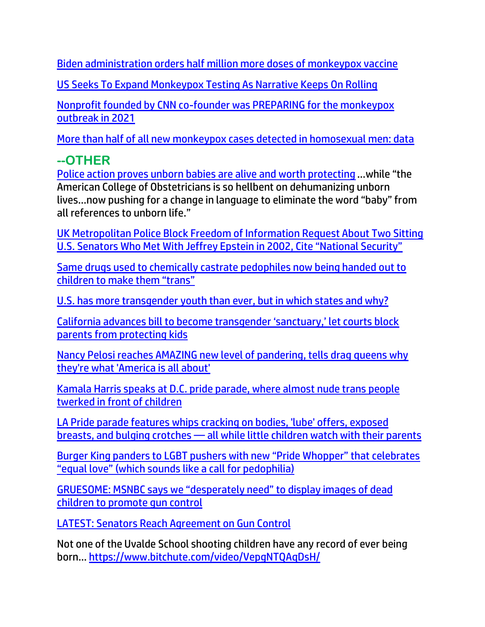[Biden administration orders half million more doses of monkeypox vaccine](https://www.lifesitenews.com/news/biden-administration-orders-half-million-more-doses-of-monkeypox-vaccine/?utm_source=top_news&utm_campaign=usa)

[US Seeks To Expand Monkeypox Testing As Narrative Keeps On Rolling](https://www.zerohedge.com/medical/us-seeks-expand-monkeypox-testing-narrative-keeps-rolling)

[Nonprofit founded by CNN co-founder was PREPARING for the monkeypox](https://www.naturalnews.com/2022-06-13-nonprofit-preparing-for-monkeypox-outbreak-in-2021.html)  [outbreak in 2021](https://www.naturalnews.com/2022-06-13-nonprofit-preparing-for-monkeypox-outbreak-in-2021.html)

[More than half of all new monkeypox cases detected in homosexual men: data](https://www.naturalnews.com/2022-06-12-more-half-monkeypox-cases-homo-men.html)

# **--OTHER**

[Police action proves unborn babies are alive and worth protecting](https://ce-publicdy.naturalnews.com/ct.asp?id=BDB8FA7C74AE845858A6C36E28D8C231CB08EDAC28D14DAAE912A396B14D71BB7978DDA5CB92CD770A55F4DC46DD285E&ct=4aeUs1wAAABCWmgzMUFZJlNZwNskoQAAFhmAAAPRUDrn34AgAEiIGk9Q8KeiNMEU8pk8FNMRgSg%2fWJlhjzS%2bqaBGTQRx6i7Xs19AQvwGaFgDnJ%2f0GB7R9%2bPgwrwrugDUjL2CNlRaPa8qV%2fxdyRThQkMDbJKE) …while "the American College of Obstetricians is so hellbent on dehumanizing unborn lives…now pushing for a change in language to eliminate the word "baby" from all references to unborn life."

[UK Metropolitan Police Block Freedom of Information Request About Two Sitting](https://welovetrump.com/2022/06/13/uk-metropolitan-police-block-freedom-of-information-request-about-two-sitting-u-s-senators-who-met-with-jeffrey-epstein-in-2002-cite-national-security/)  [U.S. Senators Who Met With Jeffrey Epstein in 2002, Cite "National Security"](https://welovetrump.com/2022/06/13/uk-metropolitan-police-block-freedom-of-information-request-about-two-sitting-u-s-senators-who-met-with-jeffrey-epstein-in-2002-cite-national-security/)

[Same drugs used to chemically castrate pedophiles now being handed out to](https://www.naturalnews.com/2022-06-12-same-drugs-chemically-castrate-pedophiles-children-trans.html)  [children to make them "trans"](https://www.naturalnews.com/2022-06-12-same-drugs-chemically-castrate-pedophiles-children-trans.html)

[U.S. has more transgender youth than ever, but in which states and why?](https://www.wnd.com/2022/06/u-s-transgender-youth-ever-states/)

[California advances bill to become transgender 'sanctuary,' let courts block](https://www.lifesitenews.com/news/california-advances-bill-to-become-transgender-sanctuary-let-courts-block-parents-from-protecting-kids/?utm_source=top_news&utm_campaign=usa)  [parents from protecting kids](https://www.lifesitenews.com/news/california-advances-bill-to-become-transgender-sanctuary-let-courts-block-parents-from-protecting-kids/?utm_source=top_news&utm_campaign=usa)

[Nancy Pelosi reaches AMAZING new level of pandering, tells drag queens why](https://link.theblaze.com/click/28041345.935777/aHR0cHM6Ly93d3cudGhlYmxhemUuY29tL3Nob3dzL3RoZS1nbGVubi1iZWNrLXByb2dyYW0vbmFuY3ktcGVsb3NpLXJ1cGF1bD91dG1fc291cmNlPXRoZWJsYXplLTdEYXlUcmVuZGluZ1Rlc3QmdXRtX21lZGl1bT1lbWFpbCZ1dG1fY2FtcGFpZ249QWZ0ZXJub29uIEF1dG8gVHJlbmRpbmcgNyBEYXkgRW5nYWdlZCAyMDIyLTA2LTEzJnV0bV90ZXJtPUFDVElWRSBMSVNUIC0gNyBEYXkgRW5nYWdlbWVudA/61f82015384ca325d2cdab60C7ac2616e)  [they're what 'America is all about'](https://link.theblaze.com/click/28041345.935777/aHR0cHM6Ly93d3cudGhlYmxhemUuY29tL3Nob3dzL3RoZS1nbGVubi1iZWNrLXByb2dyYW0vbmFuY3ktcGVsb3NpLXJ1cGF1bD91dG1fc291cmNlPXRoZWJsYXplLTdEYXlUcmVuZGluZ1Rlc3QmdXRtX21lZGl1bT1lbWFpbCZ1dG1fY2FtcGFpZ249QWZ0ZXJub29uIEF1dG8gVHJlbmRpbmcgNyBEYXkgRW5nYWdlZCAyMDIyLTA2LTEzJnV0bV90ZXJtPUFDVElWRSBMSVNUIC0gNyBEYXkgRW5nYWdlbWVudA/61f82015384ca325d2cdab60C7ac2616e)

[Kamala Harris speaks at D.C. pride parade, where almost nude trans people](https://link.theblaze.com/click/28045367.942444/aHR0cHM6Ly93d3cudGhlYmxhemUuY29tL25ld3Mva2FtYWxhLWhhcnJpcy1kYy1wcmlkZS1jaGlsZHJlbj91dG1fc291cmNlPXRoZWJsYXplLTdEYXlUcmVuZGluZ1Rlc3QmdXRtX21lZGl1bT1lbWFpbCZ1dG1fY2FtcGFpZ249VGhlIEJsYXplIFBNIFRyZW5kaW5nIDIwMjItMDYtMTMmdXRtX3Rlcm09QUNUSVZFIExJU1QgLSA3IERheSBFbmdhZ2VtZW50/61f82015384ca325d2cdab60C935ff73d)  [twerked in front of children](https://link.theblaze.com/click/28045367.942444/aHR0cHM6Ly93d3cudGhlYmxhemUuY29tL25ld3Mva2FtYWxhLWhhcnJpcy1kYy1wcmlkZS1jaGlsZHJlbj91dG1fc291cmNlPXRoZWJsYXplLTdEYXlUcmVuZGluZ1Rlc3QmdXRtX21lZGl1bT1lbWFpbCZ1dG1fY2FtcGFpZ249VGhlIEJsYXplIFBNIFRyZW5kaW5nIDIwMjItMDYtMTMmdXRtX3Rlcm09QUNUSVZFIExJU1QgLSA3IERheSBFbmdhZ2VtZW50/61f82015384ca325d2cdab60C935ff73d)

[LA Pride parade features whips cracking on bodies, 'lube' offers, exposed](https://link.theblaze.com/click/28044690.1037073/aHR0cHM6Ly93d3cudGhlYmxhemUuY29tL25ld3MvbGEtcHJpZGUtcGFyYWRlLXdoaXBzLWNoaWxkcmVuP3V0bV9zb3VyY2U9dGhlYmxhemUtZGFpbHlQTSZ1dG1fbWVkaXVtPWVtYWlsJnV0bV9jYW1wYWlnbj1EYWlseS1OZXdzbGV0dGVyX19QTSAyMDIyLTA2LTEzJnV0bV90ZXJtPUFDVElWRSBMSVNUIC0gVGhlQmxhemUgRGFpbHkgUE0/61f82015384ca325d2cdab60Ce678c4ab)  breasts, and bulging crotches — [all while little children watch with their parents](https://link.theblaze.com/click/28044690.1037073/aHR0cHM6Ly93d3cudGhlYmxhemUuY29tL25ld3MvbGEtcHJpZGUtcGFyYWRlLXdoaXBzLWNoaWxkcmVuP3V0bV9zb3VyY2U9dGhlYmxhemUtZGFpbHlQTSZ1dG1fbWVkaXVtPWVtYWlsJnV0bV9jYW1wYWlnbj1EYWlseS1OZXdzbGV0dGVyX19QTSAyMDIyLTA2LTEzJnV0bV90ZXJtPUFDVElWRSBMSVNUIC0gVGhlQmxhemUgRGFpbHkgUE0/61f82015384ca325d2cdab60Ce678c4ab)

[Burger King panders to LGBT pushers with new "Pride Whopper" that celebrates](https://www.naturalnews.com/2022-06-10-burger-king-lgbt-pride-whopper-equal-love-pedophilia.html)  ["equal love" \(which sounds like a call for pedophilia\)](https://www.naturalnews.com/2022-06-10-burger-king-lgbt-pride-whopper-equal-love-pedophilia.html)

[GRUESOME: MSNBC says we "desperately need" to display images of dead](https://ratherexposethem.org/2022/06/08/gruesome-msnbc-says-we-desperately-need-to-display-images-of-dead-children-to-promote-gun-control/)  [children to promote gun control](https://ratherexposethem.org/2022/06/08/gruesome-msnbc-says-we-desperately-need-to-display-images-of-dead-children-to-promote-gun-control/)

[LATEST: Senators Reach Agreement on Gun Control](https://trk.cp20.com/click/gak4-3nfxh3-8bp5wm-f4obzxf0/)

Not one of the Uvalde School shooting children have any record of ever being born… <https://www.bitchute.com/video/VepgNTQAqDsH/>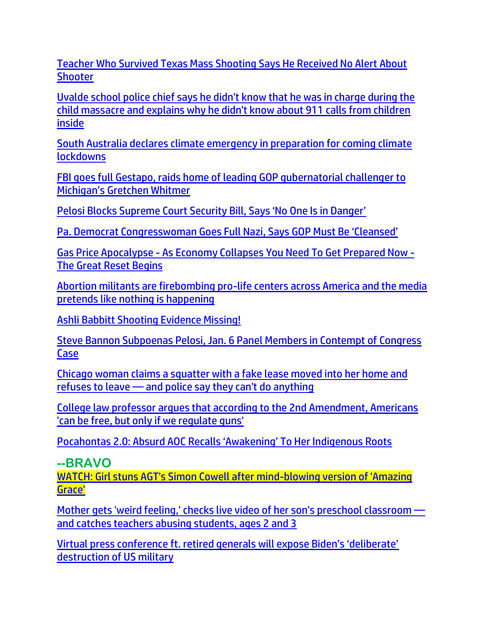[Teacher Who Survived Texas Mass Shooting Says He Received No Alert About](https://lists.youmaker.com/links/VsEhB1B9aF/Jlid8tcrj/7xAbPNiP2/dPMdBNk7bL)  **[Shooter](https://lists.youmaker.com/links/VsEhB1B9aF/Jlid8tcrj/7xAbPNiP2/dPMdBNk7bL)** 

[Uvalde school police chief says he didn't know that he was in charge during the](https://link.theblaze.com/click/28028599.1043089/aHR0cHM6Ly93d3cudGhlYmxhemUuY29tL25ld3MvdXZhbGRlLWFycmVkb25kby1yYWRpby1pbi1jaGFyZ2U_dXRtX3NvdXJjZT10aGVibGF6ZS1kYWlseVBNJnV0bV9tZWRpdW09ZW1haWwmdXRtX2NhbXBhaWduPURhaWx5LU5ld3NsZXR0ZXJfX1BNIDIwMjItMDYtMTEmdXRtX3Rlcm09QUNUSVZFIExJU1QgLSBUaGVCbGF6ZSBEYWlseSBQTQ/61f82015384ca325d2cdab60Cb823a8ef)  [child massacre and explains why he didn't know about 911 calls from children](https://link.theblaze.com/click/28028599.1043089/aHR0cHM6Ly93d3cudGhlYmxhemUuY29tL25ld3MvdXZhbGRlLWFycmVkb25kby1yYWRpby1pbi1jaGFyZ2U_dXRtX3NvdXJjZT10aGVibGF6ZS1kYWlseVBNJnV0bV9tZWRpdW09ZW1haWwmdXRtX2NhbXBhaWduPURhaWx5LU5ld3NsZXR0ZXJfX1BNIDIwMjItMDYtMTEmdXRtX3Rlcm09QUNUSVZFIExJU1QgLSBUaGVCbGF6ZSBEYWlseSBQTQ/61f82015384ca325d2cdab60Cb823a8ef)  [inside](https://link.theblaze.com/click/28028599.1043089/aHR0cHM6Ly93d3cudGhlYmxhemUuY29tL25ld3MvdXZhbGRlLWFycmVkb25kby1yYWRpby1pbi1jaGFyZ2U_dXRtX3NvdXJjZT10aGVibGF6ZS1kYWlseVBNJnV0bV9tZWRpdW09ZW1haWwmdXRtX2NhbXBhaWduPURhaWx5LU5ld3NsZXR0ZXJfX1BNIDIwMjItMDYtMTEmdXRtX3Rlcm09QUNUSVZFIExJU1QgLSBUaGVCbGF6ZSBEYWlseSBQTQ/61f82015384ca325d2cdab60Cb823a8ef)

[South Australia declares climate emergency in preparation for coming climate](https://ce-publicdy.naturalnews.com/ct.asp?id=6D1C5FD610646D361F04C1C28D5380106458F5DA427374F0EB6B736C41BEFFBA2C0F27D83F4273D1C47B82E08E923A14&ct=4aeUs2YAAABCWmgzMUFZJlNZGf84iAAAGhmAAAPRMC7v3qAgAGoao%2fVBp6nqemoNM1NBqnlPUeTRPUBpiM9GrdZhY9u9XaYxPODU%2btwgSHIo5iQtlCKZEatMC4WpiW0CJeG7txuompFij%2fI2ozwyGkKSnWn4u5IpwoSAz%2fnEQA%3d%3d)  **[lockdowns](https://ce-publicdy.naturalnews.com/ct.asp?id=6D1C5FD610646D361F04C1C28D5380106458F5DA427374F0EB6B736C41BEFFBA2C0F27D83F4273D1C47B82E08E923A14&ct=4aeUs2YAAABCWmgzMUFZJlNZGf84iAAAGhmAAAPRMC7v3qAgAGoao%2fVBp6nqemoNM1NBqnlPUeTRPUBpiM9GrdZhY9u9XaYxPODU%2btwgSHIo5iQtlCKZEatMC4WpiW0CJeG7txuompFij%2fI2ozwyGkKSnWn4u5IpwoSAz%2fnEQA%3d%3d)** 

[FBI goes full Gestapo, raids home of leading GOP gubernatorial challenger to](https://ratherexposethem.org/2022/06/11/fbi-goes-full-gestapo-raids-home-of-leading-gop-gubernatorial-challenger-to-michigans-gretchen-whitmer/)  [Michigan's Gretchen Whitmer](https://ratherexposethem.org/2022/06/11/fbi-goes-full-gestapo-raids-home-of-leading-gop-gubernatorial-challenger-to-michigans-gretchen-whitmer/)

[Pelosi Blocks Supreme Court Security Bill, Says 'No One Is in Danger'](https://lists.youmaker.com/links/QJallb07YE/Jlid8tcrj/7xAbPNiP2/HMgA65zDVA)

[Pa. Democrat Congresswoman Goes Full Nazi, Says GOP Must Be 'Cleansed'](https://ratherexposethem.org/2022/06/12/pa-democrat-congresswoman-goes-full-nazi-says-gop-must-be-cleansed/)

Gas Price Apocalypse - As Economy Collapses [You Need To Get Prepared Now](https://ce-publicdy.naturalnews.com/ct.asp?id=524EE722DCFEDC69F6E8D1A8C6AA321D19C836E00CC0CFBDF570AC53D994254292498BCBF5A8CD1E3CA22F543C98E2AC&ct=4aeUsz4AAABCWmgzMUFZJlNZQ2kGBQAAF5mAAAPfcD%2fj3IAgAFRQAAAAaFJk9Jmp6NE9Q0ZpO0aLetxAhcm1BQnwZwcayylnw7kJIBumah5%2f8S5E%2frKABiAKnxdyRThQkENpBgU%3d) - [The Great Reset Begins](https://ce-publicdy.naturalnews.com/ct.asp?id=524EE722DCFEDC69F6E8D1A8C6AA321D19C836E00CC0CFBDF570AC53D994254292498BCBF5A8CD1E3CA22F543C98E2AC&ct=4aeUsz4AAABCWmgzMUFZJlNZQ2kGBQAAF5mAAAPfcD%2fj3IAgAFRQAAAAaFJk9Jmp6NE9Q0ZpO0aLetxAhcm1BQnwZwcayylnw7kJIBumah5%2f8S5E%2frKABiAKnxdyRThQkENpBgU%3d)

[Abortion militants are firebombing pro-life centers across America and the media](https://ce-publicdy.naturalnews.com/ct.asp?id=E7EEC547977ACFA108A42AA4A31279595EA5C4CF49912525C9AC39721278D8BB3CE91F592DF0950574DBCCFE811663FD&ct=4aeUs20AAABCWmgzMUFZJlNZxhT6IQAAGpmAAAPRMDvn3IAgAGhBI9TTamaamaAY8BpEaaGhp2fmRmDu2l3XNaKBQYaWMUIor9g7dPsJeyb9EhFPjIezVVE403SEo1nrbZiSZdijIOguHXx5e4zKHEFj8XckU4UJDGFPohA%3d)  [pretends like nothing is happening](https://ce-publicdy.naturalnews.com/ct.asp?id=E7EEC547977ACFA108A42AA4A31279595EA5C4CF49912525C9AC39721278D8BB3CE91F592DF0950574DBCCFE811663FD&ct=4aeUs20AAABCWmgzMUFZJlNZxhT6IQAAGpmAAAPRMDvn3IAgAGhBI9TTamaamaAY8BpEaaGhp2fmRmDu2l3XNaKBQYaWMUIor9g7dPsJeyb9EhFPjIezVVE403SEo1nrbZiSZdijIOguHXx5e4zKHEFj8XckU4UJDGFPohA%3d)

[Ashli Babbitt Shooting Evidence Missing!](https://trk.cp20.com/click/gak4-3nefkv-8borjw-f4obzxf8/)

[Steve Bannon Subpoenas Pelosi, Jan. 6 Panel Members in Contempt of Congress](https://lists.youmaker.com/links/isAFCOmoGK/Jlid8tcrj/7xAbPNiP2/MWEZSt7EOYK)  [Case](https://lists.youmaker.com/links/isAFCOmoGK/Jlid8tcrj/7xAbPNiP2/MWEZSt7EOYK)

[Chicago woman claims a squatter with a fake lease moved into her home and](https://link.theblaze.com/click/27994857.1047528/aHR0cHM6Ly93d3cudGhlYmxhemUuY29tL25ld3Mvc3F1YXR0ZXItcmVmdXNlcy10by1sZWF2ZS1jaGljYWdvLXdvbWFucy1ob21lP3V0bV9zb3VyY2U9dGhlYmxhemUtZGFpbHlBTSZ1dG1fbWVkaXVtPWVtYWlsJnV0bV9jYW1wYWlnbj1EYWlseS1OZXdzbGV0dGVyX19BTSAyMDIyLTA2LTA5JnV0bV90ZXJtPUFDVElWRSBMSVNUIC0gVGhlQmxhemUgRGFpbHkgQU0/61f82015384ca325d2cdab60C421d56da)  refuses to leave — [and police say they can't do anything](https://link.theblaze.com/click/27994857.1047528/aHR0cHM6Ly93d3cudGhlYmxhemUuY29tL25ld3Mvc3F1YXR0ZXItcmVmdXNlcy10by1sZWF2ZS1jaGljYWdvLXdvbWFucy1ob21lP3V0bV9zb3VyY2U9dGhlYmxhemUtZGFpbHlBTSZ1dG1fbWVkaXVtPWVtYWlsJnV0bV9jYW1wYWlnbj1EYWlseS1OZXdzbGV0dGVyX19BTSAyMDIyLTA2LTA5JnV0bV90ZXJtPUFDVElWRSBMSVNUIC0gVGhlQmxhemUgRGFpbHkgQU0/61f82015384ca325d2cdab60C421d56da)

[College law professor argues that according to the 2nd Amendment, Americans](https://link.theblaze.com/click/28001125.1152963/aHR0cHM6Ly93d3cudGhlYmxhemUuY29tL25ld3MvdGhvbWFzLWNyb2NrZXItc2Vjb25kLWFtZW5kbWVudC1yZWd1bGF0aW9ucz91dG1fc291cmNlPXRoZWJsYXplLWJyZWFraW5nJnV0bV9tZWRpdW09ZW1haWwmdXRtX2NhbXBhaWduPTIwMjIwNjEwU3BvbnNvcmVkVHJlbmRpbmctR3JpcDYmdXRtX3Rlcm09QUNUSVZFIExJU1QgLSBUaGVCbGF6ZSBCcmVha2luZyBOZXdz/61f82015384ca325d2cdab60Ce75a79b4)  ['can be free, but only if we regulate guns'](https://link.theblaze.com/click/28001125.1152963/aHR0cHM6Ly93d3cudGhlYmxhemUuY29tL25ld3MvdGhvbWFzLWNyb2NrZXItc2Vjb25kLWFtZW5kbWVudC1yZWd1bGF0aW9ucz91dG1fc291cmNlPXRoZWJsYXplLWJyZWFraW5nJnV0bV9tZWRpdW09ZW1haWwmdXRtX2NhbXBhaWduPTIwMjIwNjEwU3BvbnNvcmVkVHJlbmRpbmctR3JpcDYmdXRtX3Rlcm09QUNUSVZFIExJU1QgLSBUaGVCbGF6ZSBCcmVha2luZyBOZXdz/61f82015384ca325d2cdab60Ce75a79b4)

[Pocahontas 2.0: Absurd AOC Recalls 'Awakening' To Her Indigenous Roots](https://trk.cp20.com/click/gak4-3nfgwo-8bp2ne-f4obzxf8/)

**--BRAVO** [WATCH: Girl stuns AGT's Simon Cowell after mind-blowing version of 'Amazing](https://www.wnd.com/2022/06/watch-girl-stuns-agts-simon-cowell-mind-blowing-version-amazing-grace/)  [Grace'](https://www.wnd.com/2022/06/watch-girl-stuns-agts-simon-cowell-mind-blowing-version-amazing-grace/)

[Mother gets 'weird feeling,' checks live video of her son's preschool classroom](https://link.theblaze.com/click/28002143.1159084/aHR0cHM6Ly93d3cudGhlYmxhemUuY29tL25ld3MvcHJlc2Nob29sLXRlYWNoZXJzLWNhdWdodC1hYnVzaW5nLXN0dWRlbnRzP3V0bV9zb3VyY2U9dGhlYmxhemUtYnJlYWtpbmcmdXRtX21lZGl1bT1lbWFpbCZ1dG1fY2FtcGFpZ249MjAyMjA2MDlUcmVuZGluZy1Nb3RoZXJBYnVzZVNjaG9vbCZ1dG1fdGVybT1BQ1RJVkUgTElTVCAtIFRoZUJsYXplIEJyZWFraW5nIE5ld3M/61f82015384ca325d2cdab60Ce5b5cc3f)  [and catches teachers abusing students, ages 2 and 3](https://link.theblaze.com/click/28002143.1159084/aHR0cHM6Ly93d3cudGhlYmxhemUuY29tL25ld3MvcHJlc2Nob29sLXRlYWNoZXJzLWNhdWdodC1hYnVzaW5nLXN0dWRlbnRzP3V0bV9zb3VyY2U9dGhlYmxhemUtYnJlYWtpbmcmdXRtX21lZGl1bT1lbWFpbCZ1dG1fY2FtcGFpZ249MjAyMjA2MDlUcmVuZGluZy1Nb3RoZXJBYnVzZVNjaG9vbCZ1dG1fdGVybT1BQ1RJVkUgTElTVCAtIFRoZUJsYXplIEJyZWFraW5nIE5ld3M/61f82015384ca325d2cdab60Ce5b5cc3f)

[Virtual press conference ft. retired generals will expose Biden's 'deliberate'](https://www.lifesitenews.com/news/virtual-press-conference-ft-retired-generals-will-expose-bidens-deliberate-destruction-of-us-military/?utm_source=featured&utm_campaign=usa)  [destruction of US military](https://www.lifesitenews.com/news/virtual-press-conference-ft-retired-generals-will-expose-bidens-deliberate-destruction-of-us-military/?utm_source=featured&utm_campaign=usa)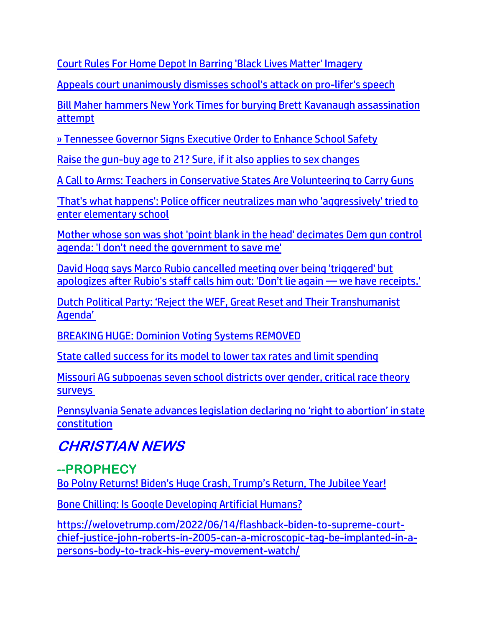[Court Rules For Home Depot In Barring 'Black Lives Matter' Imagery](https://www.zerohedge.com/political/court-rules-home-depot-barring-black-lives-matter-imagery)

[Appeals court unanimously dismisses school's attack on pro-lifer's speech](https://www.wnd.com/2022/06/appeals-court-unanimously-dismisses-schools-attack-pro-lifers-speech/)

[Bill Maher hammers New York Times for burying Brett Kavanaugh assassination](https://link.theblaze.com/click/28028599.1043089/aHR0cHM6Ly93d3cudGhlYmxhemUuY29tL25ld3MvYmlsbC1tYWhlci1rYXZhbmF1Z2gtYXNzYXNzaW5hdGlvbi10aW1lcz91dG1fc291cmNlPXRoZWJsYXplLWRhaWx5UE0mdXRtX21lZGl1bT1lbWFpbCZ1dG1fY2FtcGFpZ249RGFpbHktTmV3c2xldHRlcl9fUE0gMjAyMi0wNi0xMSZ1dG1fdGVybT1BQ1RJVkUgTElTVCAtIFRoZUJsYXplIERhaWx5IFBN/61f82015384ca325d2cdab60C9236788c)  [attempt](https://link.theblaze.com/click/28028599.1043089/aHR0cHM6Ly93d3cudGhlYmxhemUuY29tL25ld3MvYmlsbC1tYWhlci1rYXZhbmF1Z2gtYXNzYXNzaW5hdGlvbi10aW1lcz91dG1fc291cmNlPXRoZWJsYXplLWRhaWx5UE0mdXRtX21lZGl1bT1lbWFpbCZ1dG1fY2FtcGFpZ249RGFpbHktTmV3c2xldHRlcl9fUE0gMjAyMi0wNi0xMSZ1dG1fdGVybT1BQ1RJVkUgTElTVCAtIFRoZUJsYXplIERhaWx5IFBN/61f82015384ca325d2cdab60C9236788c)

[» Tennessee Governor Signs Executive Order to Enhance School Safety](https://trk.cp20.com/click/gak4-3ne2pk-8bontm-f4obzxf6/)

[Raise the gun-buy age to 21? Sure, if it also applies to sex changes](https://www.wnd.com/2022/06/raise-gun-buy-age-21-sure-also-applies-sex-changes/)

[A Call to Arms: Teachers in Conservative States Are Volunteering to Carry Guns](https://lists.youmaker.com/links/QJallb07YE/Jlid8tcrj/7xAbPNiP2/XuOzCh1ys3)

['That's what happens': Police officer neutralizes man who 'aggressively' tried to](https://link.theblaze.com/click/28017887.1112300/aHR0cHM6Ly93d3cudGhlYmxhemUuY29tL25ld3MvYWxhYmFtYS1wb2xpY2Uta2lsbC1tYW4tdHJ5LXRvLWVudGVyLXNjaG9vbD91dG1fc291cmNlPXRoZWJsYXplLWJyZWFraW5nJnV0bV9tZWRpdW09ZW1haWwmdXRtX2NhbXBhaWduPTIwMjIwNjEwVHJlbmRpbmctTW9tU29uU2hvdCZ1dG1fdGVybT1BQ1RJVkUgTElTVCAtIFRoZUJsYXplIEJyZWFraW5nIE5ld3M/61f82015384ca325d2cdab60C6b7765d2)  [enter elementary school](https://link.theblaze.com/click/28017887.1112300/aHR0cHM6Ly93d3cudGhlYmxhemUuY29tL25ld3MvYWxhYmFtYS1wb2xpY2Uta2lsbC1tYW4tdHJ5LXRvLWVudGVyLXNjaG9vbD91dG1fc291cmNlPXRoZWJsYXplLWJyZWFraW5nJnV0bV9tZWRpdW09ZW1haWwmdXRtX2NhbXBhaWduPTIwMjIwNjEwVHJlbmRpbmctTW9tU29uU2hvdCZ1dG1fdGVybT1BQ1RJVkUgTElTVCAtIFRoZUJsYXplIEJyZWFraW5nIE5ld3M/61f82015384ca325d2cdab60C6b7765d2)

[Mother whose son was shot 'point blank in the head' decimates Dem gun control](https://link.theblaze.com/click/28017887.1112300/aHR0cHM6Ly93d3cudGhlYmxhemUuY29tL25ld3MvbHVjcmV0aWEtaHVnaGVzLWJsYXN0cy1ndW4tY29udHJvbD91dG1fc291cmNlPXRoZWJsYXplLWJyZWFraW5nJnV0bV9tZWRpdW09ZW1haWwmdXRtX2NhbXBhaWduPTIwMjIwNjEwVHJlbmRpbmctTW9tU29uU2hvdCZ1dG1fdGVybT1BQ1RJVkUgTElTVCAtIFRoZUJsYXplIEJyZWFraW5nIE5ld3M/61f82015384ca325d2cdab60Ca8fb683b)  [agenda: 'I don't need the government](https://link.theblaze.com/click/28017887.1112300/aHR0cHM6Ly93d3cudGhlYmxhemUuY29tL25ld3MvbHVjcmV0aWEtaHVnaGVzLWJsYXN0cy1ndW4tY29udHJvbD91dG1fc291cmNlPXRoZWJsYXplLWJyZWFraW5nJnV0bV9tZWRpdW09ZW1haWwmdXRtX2NhbXBhaWduPTIwMjIwNjEwVHJlbmRpbmctTW9tU29uU2hvdCZ1dG1fdGVybT1BQ1RJVkUgTElTVCAtIFRoZUJsYXplIEJyZWFraW5nIE5ld3M/61f82015384ca325d2cdab60Ca8fb683b) to save me'

[David Hogg says Marco Rubio cancelled meeting over being 'triggered' but](https://link.theblaze.com/click/28001125.1152963/aHR0cHM6Ly93d3cudGhlYmxhemUuY29tL25ld3MvZGF2aWQtaG9nZy1tYXJjby1ydWJpby1tZWV0aW5nP3V0bV9zb3VyY2U9dGhlYmxhemUtYnJlYWtpbmcmdXRtX21lZGl1bT1lbWFpbCZ1dG1fY2FtcGFpZ249MjAyMjA2MTBTcG9uc29yZWRUcmVuZGluZy1HcmlwNiZ1dG1fdGVybT1BQ1RJVkUgTElTVCAtIFRoZUJsYXplIEJyZWFraW5nIE5ld3M/61f82015384ca325d2cdab60C3e1eda10)  [apologizes after Rubio's staff calls him out: 'Don't lie again —](https://link.theblaze.com/click/28001125.1152963/aHR0cHM6Ly93d3cudGhlYmxhemUuY29tL25ld3MvZGF2aWQtaG9nZy1tYXJjby1ydWJpby1tZWV0aW5nP3V0bV9zb3VyY2U9dGhlYmxhemUtYnJlYWtpbmcmdXRtX21lZGl1bT1lbWFpbCZ1dG1fY2FtcGFpZ249MjAyMjA2MTBTcG9uc29yZWRUcmVuZGluZy1HcmlwNiZ1dG1fdGVybT1BQ1RJVkUgTElTVCAtIFRoZUJsYXplIEJyZWFraW5nIE5ld3M/61f82015384ca325d2cdab60C3e1eda10) we have receipts.'

[Dutch Political Party: 'Reject the WEF, Great Reset and Their Transhumanist](https://rairfoundation.com/dutch-political-party-reject-the-wef-great-reset-and-their-transhumanist-agenda-video/)  [Agenda'](https://rairfoundation.com/dutch-political-party-reject-the-wef-great-reset-and-their-transhumanist-agenda-video/)

[BREAKING HUGE: Dominion Voting Systems REMOVED](https://trk.cp20.com/click/gak4-3nf4ts-8boznb-f4obzxf6/)

[State called success for its model to lower tax rates and limit spending](https://www.wnd.com/2022/06/state-called-success-model-lower-tax-rates-limit-spending/)

[Missouri AG subpoenas seven school districts over gender, critical race theory](https://www.lifesitenews.com/news/missouri-ag-subpoenas-seven-school-districts-over-gender-critical-race-theory-surveys/?utm_source=gab)  [surveys](https://www.lifesitenews.com/news/missouri-ag-subpoenas-seven-school-districts-over-gender-critical-race-theory-surveys/?utm_source=gab)

Penns[ylvania Senate advances legislation declaring no 'right to abortion' in state](https://www.lifesitenews.com/news/pennsylvania-senate-advances-legislation-declaring-no-right-to-abortion-in-state-constitution/?utm_source=top_news&utm_campaign=usa)  [constitution](https://www.lifesitenews.com/news/pennsylvania-senate-advances-legislation-declaring-no-right-to-abortion-in-state-constitution/?utm_source=top_news&utm_campaign=usa)

# **CHRISTIAN NEWS**

**--PROPHECY** Bo [Polny Returns! Biden's Huge Crash, Trump's Return, The Jubilee Year!](https://welovetrump.com/2022/06/10/bo-polny-returns-bidens-huge-crash-trumps-return-the-jubilee-year/)

[Bone Chilling: Is Google Developing Artificial Humans?](https://trk.cp20.com/click/gak4-3ng44v-8bp8li-f4obzxf6/)

[https://welovetrump.com/2022/06/14/flashback-biden-to-supreme-court](https://welovetrump.com/2022/06/14/flashback-biden-to-supreme-court-chief-justice-john-roberts-in-2005-can-a-microscopic-tag-be-implanted-in-a-persons-body-to-track-his-every-movement-watch/)[chief-justice-john-roberts-in-2005-can-a-microscopic-tag-be-implanted-in-a](https://welovetrump.com/2022/06/14/flashback-biden-to-supreme-court-chief-justice-john-roberts-in-2005-can-a-microscopic-tag-be-implanted-in-a-persons-body-to-track-his-every-movement-watch/)[persons-body-to-track-his-every-movement-watch/](https://welovetrump.com/2022/06/14/flashback-biden-to-supreme-court-chief-justice-john-roberts-in-2005-can-a-microscopic-tag-be-implanted-in-a-persons-body-to-track-his-every-movement-watch/)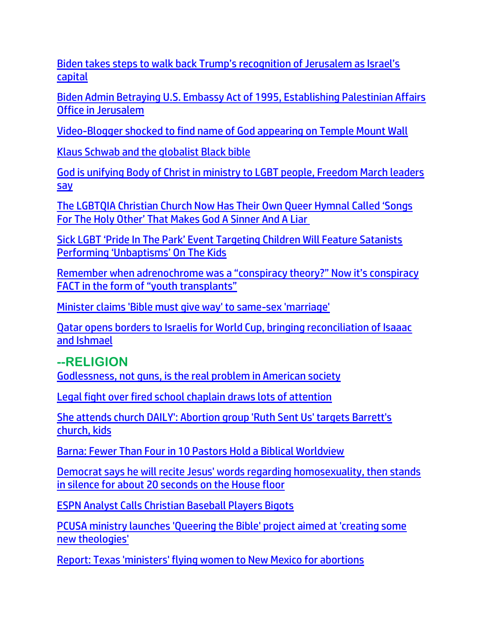[Biden takes steps to walk back Trump's recognition of Jerusalem as Israel's](https://www.israel365news.com/270233/biden-takes-steps-to-walk-back-trumps-recognition-of-jerusalem-as-israels-capital-report/)  [capital](https://www.israel365news.com/270233/biden-takes-steps-to-walk-back-trumps-recognition-of-jerusalem-as-israels-capital-report/)

[Biden Admin Betraying U.S. Embassy Act of 1995, Establishing Palestinian Affairs](https://delivery.email.saraacarter.com/GUIDARZE?id=153976=eh4CVwZWCQQBTAsCUFoEB1YBVFFWAVVUA1FRAlgCBlwJAwNQV1cFCwJVBAJRWwQMBAoeXlxdAxEKDCRUVABaVBcBXQtPVAYGAgEHB18PBAAABFYCDwkaChURFEADThxcXA5bEFYXSR1SXVJbChdGVUVTA1dWQxIHE0sHXFROdG1wJnM0aSAPWlNMRQE=&fl=URZGFkBfHxxDVV9XC1xBRl5XERpdVAMMBksHXFROUFRQAVk=&ext=dD1leUpoYkdjaU9pSklVekkxTmlJc0luUjVjQ0k2SWtwWFZDSjkuZXlKd0lqcGJiblZzYkN4dWRXeHNMQ0pvZEhSd2N6b3ZMM05oY21GaFkyRnlkR1Z5TG1OdmJTOWlhV1JsYmkxaFpHMXBiaTFpWlhSeVlYbHBibWN0ZFMxekxXVnRZbUZ6YzNrdFlXTjBMVzltTFRFNU9UVXRaWE4wWVdKc2FYTm9hVzVuTFhCaGJHVnpkR2x1YVdGdUxXRm1abUZwY25NdGIyWm1hV05sTFdsdUxXcGxjblZ6WVd4bGJTOF9kWFJ0WDNOdmRYSmpaVDFxWldWdVp5WnFaVzA5WXpWaE16ZzFOekJqTUdGa1kyTmpaamhoWWpOa1l6bGlZamN3TWpNelpqTWlMRzUxYkd3c01TeG1ZV3h6WlN4bVlXeHpaU3dpWkdRMU1EY3pNbVF0TTJObVlTMDBOV0kzTFRnMU1URXRObVZsTW1Fd05qQmhPRGN6SWl3aVlXRTJZV1psWW1RdFpHVmhOUzAwTlRZd0xXRTVOVEl0WlRZd1lXRTVOR1ZoWXpsa0lpd2lPR0ZtTlRjd09EQXRPV014TXkwMFltUXpMV0k0Tm1ZdE1HSXpZelZrWmpreFpqRmlJaXdpYUhSMGNITTZMeTl6WVhKaFlXTmhjblJsY2k1amIyMHZZbWxrWlc0dFlXUnRhVzR0WW1WMGNtRjVhVzVuTFhVdGN5MWxiV0poYzNONUxXRmpkQzF2WmkweE9UazFMV1Z6ZEdGaWJHbHphR2x1Wnkxd1lXeGxjM1JwYm1saGJpMWhabVpoYVhKekxXOW1abWxqWlMxcGJpMXFaWEoxYzJGc1pXMHZJaXdpWXpkd00xOHdJaXdpWlcxaGFXd2lMQ0pFVXlKZExDSnBZWFFpT2pFMk5UVXhOVFF3T0RSOS5fRll2UXlNc01ZNlNYeG93dFp3MFh2ekhGbGpWcTlKdUNSbGc0cTFpdEJB)  [Office in Jerusalem](https://delivery.email.saraacarter.com/GUIDARZE?id=153976=eh4CVwZWCQQBTAsCUFoEB1YBVFFWAVVUA1FRAlgCBlwJAwNQV1cFCwJVBAJRWwQMBAoeXlxdAxEKDCRUVABaVBcBXQtPVAYGAgEHB18PBAAABFYCDwkaChURFEADThxcXA5bEFYXSR1SXVJbChdGVUVTA1dWQxIHE0sHXFROdG1wJnM0aSAPWlNMRQE=&fl=URZGFkBfHxxDVV9XC1xBRl5XERpdVAMMBksHXFROUFRQAVk=&ext=dD1leUpoYkdjaU9pSklVekkxTmlJc0luUjVjQ0k2SWtwWFZDSjkuZXlKd0lqcGJiblZzYkN4dWRXeHNMQ0pvZEhSd2N6b3ZMM05oY21GaFkyRnlkR1Z5TG1OdmJTOWlhV1JsYmkxaFpHMXBiaTFpWlhSeVlYbHBibWN0ZFMxekxXVnRZbUZ6YzNrdFlXTjBMVzltTFRFNU9UVXRaWE4wWVdKc2FYTm9hVzVuTFhCaGJHVnpkR2x1YVdGdUxXRm1abUZwY25NdGIyWm1hV05sTFdsdUxXcGxjblZ6WVd4bGJTOF9kWFJ0WDNOdmRYSmpaVDFxWldWdVp5WnFaVzA5WXpWaE16ZzFOekJqTUdGa1kyTmpaamhoWWpOa1l6bGlZamN3TWpNelpqTWlMRzUxYkd3c01TeG1ZV3h6WlN4bVlXeHpaU3dpWkdRMU1EY3pNbVF0TTJObVlTMDBOV0kzTFRnMU1URXRObVZsTW1Fd05qQmhPRGN6SWl3aVlXRTJZV1psWW1RdFpHVmhOUzAwTlRZd0xXRTVOVEl0WlRZd1lXRTVOR1ZoWXpsa0lpd2lPR0ZtTlRjd09EQXRPV014TXkwMFltUXpMV0k0Tm1ZdE1HSXpZelZrWmpreFpqRmlJaXdpYUhSMGNITTZMeTl6WVhKaFlXTmhjblJsY2k1amIyMHZZbWxrWlc0dFlXUnRhVzR0WW1WMGNtRjVhVzVuTFhVdGN5MWxiV0poYzNONUxXRmpkQzF2WmkweE9UazFMV1Z6ZEdGaWJHbHphR2x1Wnkxd1lXeGxjM1JwYm1saGJpMWhabVpoYVhKekxXOW1abWxqWlMxcGJpMXFaWEoxYzJGc1pXMHZJaXdpWXpkd00xOHdJaXdpWlcxaGFXd2lMQ0pFVXlKZExDSnBZWFFpT2pFMk5UVXhOVFF3T0RSOS5fRll2UXlNc01ZNlNYeG93dFp3MFh2ekhGbGpWcTlKdUNSbGc0cTFpdEJB)

[Video-Blogger shocked to find name of God appearing on Temple Mount Wall](https://www.israel365news.com/270194/video-blogger-shocked-to-find-name-of-god-appearing-on-temple-mount-wall/)

[Klaus Schwab and the globalist Black bible](https://www.weeklyblitz.net/oped/klaus-schwab-and-the-globalist-black-bible/)

[God is unifying Body of Christ in ministry to LGBT people, Freedom March leaders](https://www.christianpost.com/news/god-is-unifying-body-of-christ-in-ministry-to-lgbt-people-at-freedom-march.html)  **[say](https://www.christianpost.com/news/god-is-unifying-body-of-christ-in-ministry-to-lgbt-people-at-freedom-march.html)** 

[The LGBTQIA Christian Church Now Has Their Own Queer Hymnal Called 'Songs](https://www.nowtheendbegins.com/songs-for-the-holy-other-lgbtqia-affirming-christian-church-hymnal-makes-god-a-liar-sinner/)  [For The Holy Other' That Makes God A Sinner And A Liar](https://www.nowtheendbegins.com/songs-for-the-holy-other-lgbtqia-affirming-christian-church-hymnal-makes-god-a-liar-sinner/)

[Sick LGBT 'Pride In The Park' Event Targeting Children Will Feature Satanists](https://en-volve.com/2022/06/09/sick-lgbt-pride-in-the-park-event-targeting-children-will-feature-satanists-performing-unbaptisms-on-the-kids/)  [Performing 'Unbaptisms' On The Kids](https://en-volve.com/2022/06/09/sick-lgbt-pride-in-the-park-event-targeting-children-will-feature-satanists-performing-unbaptisms-on-the-kids/)

[Remember when adrenochrome was a "conspiracy theory?" Now it's conspiracy](https://www.naturalnews.com/2022-06-12-adrenochrome-conspiracy-theory-fact-youth-transplants.html)  [FACT in the form of "youth transplants"](https://www.naturalnews.com/2022-06-12-adrenochrome-conspiracy-theory-fact-youth-transplants.html)

[Minister claims 'Bible must give way' to same-sex 'marriage'](https://www.wnd.com/2022/06/minister-claims-bible-must-give-way-sex-marriage/)

[Qatar opens borders to Israelis for World Cup, bringing reconciliation of Isaaac](https://www.israel365news.com/270190/qatar-opens-borders-to-israelis-for-world-cup-bringing-reconciliation-of-isaaac-and-ishmael/)  [and Ishmael](https://www.israel365news.com/270190/qatar-opens-borders-to-israelis-for-world-cup-bringing-reconciliation-of-isaaac-and-ishmael/)

# **--RELIGION**

[Godlessness, not guns, is the real problem in American society](https://www.lifesitenews.com/opinion/godlessness-not-guns-is-the-real-problem-in-american-society/?utm_source=top_news&utm_campaign=usa)

[Legal fight over fired school chaplain draws lots of attention](https://inform.afa.net/optiext/optiextension.dll?ID=hLKhGRJlK0uhJGM5uwqUWtkSanDddm7qgRcY3OYwFCUJ%2Blp3Vq15C3OGLZnxXr7%2Be6VN4YdlfIpLClP6UOJkNBecSfQAYpkD90aazvhA)

[She attends church DAILY': Abortion group 'Ruth Sent Us' targets Barrett's](https://www.wnd.com/2022/06/attends-church-daily-abortion-group-ruth-sent-us-targets-barretts-church-kids/)  [church, kids](https://www.wnd.com/2022/06/attends-church-daily-abortion-group-ruth-sent-us-targets-barretts-church-kids/)

[Barna: Fewer Than Four in 10 Pastors Hold a Biblical Worldview](https://ratherexposethem.org/2022/06/10/barna-fewer-than-four-in-10-pastors-hold-a-biblical-worldview/)

[Democrat says he will recite Jesus' words regarding homosexuality, then stands](https://link.theblaze.com/click/27987013.1150306/aHR0cHM6Ly93d3cudGhlYmxhemUuY29tL25ld3MvdGVkLWxsaWV1LWplc3VzLWhvbW9zZXh1YWxpdHktc2lsZW5jZT91dG1fc291cmNlPXRoZWJsYXplLWJyZWFraW5nJnV0bV9tZWRpdW09ZW1haWwmdXRtX2NhbXBhaWduPTIwMjIwNjA5U3BvbnNvcmVkVHJlbmRpbmctUmV2ZWxhdGlvbk1lZGlhJnV0bV90ZXJtPUFDVElWRSBMSVNUIC0gVGhlQmxhemUgQnJlYWtpbmcgTmV3cw/61f82015384ca325d2cdab60C82fe7594)  [in silence for about 20 seconds on the House floor](https://link.theblaze.com/click/27987013.1150306/aHR0cHM6Ly93d3cudGhlYmxhemUuY29tL25ld3MvdGVkLWxsaWV1LWplc3VzLWhvbW9zZXh1YWxpdHktc2lsZW5jZT91dG1fc291cmNlPXRoZWJsYXplLWJyZWFraW5nJnV0bV9tZWRpdW09ZW1haWwmdXRtX2NhbXBhaWduPTIwMjIwNjA5U3BvbnNvcmVkVHJlbmRpbmctUmV2ZWxhdGlvbk1lZGlhJnV0bV90ZXJtPUFDVElWRSBMSVNUIC0gVGhlQmxhemUgQnJlYWtpbmcgTmV3cw/61f82015384ca325d2cdab60C82fe7594)

[ESPN Analyst Calls Christian Baseball Players Bigots](https://welovetrump.com/2022/06/09/espn-analyst-calls-christian-baseball-players-bigots/)

[PCUSA ministry launches 'Queering the Bible' project aimed at 'creating some](https://www.christianpost.com/news/pcusa-ministry-launches-queering-the-bible-project.html)  [new theologies'](https://www.christianpost.com/news/pcusa-ministry-launches-queering-the-bible-project.html)

[Report: Texas 'ministers' flying women to New Mexico for abortions](https://www.wnd.com/2022/06/report-texas-ministers-flying-women-new-mexico-abortions/)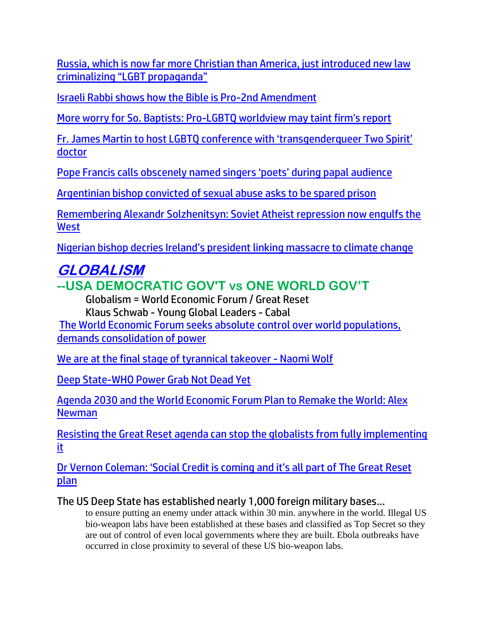[Russia, which is now far more Christian than America, just introduced new law](https://www.naturalnews.com/2022-06-10-russia-more-christian-america-criminalizes-lgbt-propaganda.html)  [criminalizing "LGBT propaganda"](https://www.naturalnews.com/2022-06-10-russia-more-christian-america-criminalizes-lgbt-propaganda.html)

[Israeli Rabbi shows how the Bible is Pro-2nd Amendment](https://www.israel365news.com/270139/israeli-rabbi-proves-the-bible-is-pro-2nd-amendment/)

[More worry for So. Baptists: Pro-LGBTQ worldview may taint firm's report](https://inform.afa.net/optiext/optiextension.dll?ID=aIJaJn3TaSkV0xXtEBvVevcmB1Yrdf4SkKgFPA3ocrUJyAdqOfOAyB%2BQFBgHjGUVViM25ZzLXgTO9G0ZV0m6osF8K%2BCDFZGAo2FumxG5)

[Fr. James Martin to host LGBTQ conference with 'transgenderqueer Two Spirit'](https://www.lifesitenews.com/news/fr-james-martin-to-host-lgbtq-conference-with-transgenderqueer-two-spirit-doctor/?utm_source=top_news&utm_campaign=usa)  [doctor](https://www.lifesitenews.com/news/fr-james-martin-to-host-lgbtq-conference-with-transgenderqueer-two-spirit-doctor/?utm_source=top_news&utm_campaign=usa)

[Pope Francis calls obscenely named singer](https://www.lifesitenews.com/news/pope-francis-calls-singers-wearing-obscene-shirts-poets-during-papal-audience/?utm_source=top_news&utm_campaign=usa)s 'poets' during papal audience

[Argentinian bishop convicted of sexual abuse asks to be spared prison](https://www.lifesitenews.com/news/argentinian-bishop-convicted-of-sexual-abuse-asks-to-be-spared-prison/?utm_source=top_news&utm_campaign=usa)

[Remembering Alexandr Solzhenitsyn: Soviet Atheist repression now engulfs the](https://www.naturalnews.com/2022-06-12-soviet-atheist-repression-now-engulfs-the-west.html)  **[West](https://www.naturalnews.com/2022-06-12-soviet-atheist-repression-now-engulfs-the-west.html)** 

[Nigerian bishop decries Ireland's president](https://www.lifesitenews.com/news/nigerian-bishop-decries-irelands-president-linking-massacre-to-climate-change/?utm_source=top_news&utm_campaign=usa) linking massacre to climate change

# **GLOBALISM**

# **--USA DEMOCRATIC GOV'T vs ONE WORLD GOV'T**

Globalism = World Economic Forum / Great Reset Klaus Schwab - Young Global Leaders - Cabal

[The World Economic Forum seeks absolute control over world populations,](https://ce-publiclw.naturalnews.com/ct.asp?id=C89DC7CA0802B70A21BDE1A5DE6A608D7D05AA4B221C66FF9B33D7172FC6D1C595046D5499A905E7016052652CEBF1D5&ct=4aeUs1wAAABCWmgzMUFZJlNZ5KEsHgAAFJmAAAPRUD%2fv34AgAEioeKaYnpig0yPUIo9QZhI9IMJtQSufNUpfEXTxDrDPRcojsbMICVFfvALOUh9fVggUBDVbfZvywFFZjo7RhgiVkdDE%2bpGoINPxdyRThQkOShLB4A%3d%3d)  [demands consolidation of power](https://ce-publiclw.naturalnews.com/ct.asp?id=C89DC7CA0802B70A21BDE1A5DE6A608D7D05AA4B221C66FF9B33D7172FC6D1C595046D5499A905E7016052652CEBF1D5&ct=4aeUs1wAAABCWmgzMUFZJlNZ5KEsHgAAFJmAAAPRUD%2fv34AgAEioeKaYnpig0yPUIo9QZhI9IMJtQSufNUpfEXTxDrDPRcojsbMICVFfvALOUh9fVggUBDVbfZvywFFZjo7RhgiVkdDE%2bpGoINPxdyRThQkOShLB4A%3d%3d)

[We are at the final stage of tyrannical takeover -](https://ce-publicdy.naturalnews.com/ct.asp?id=74A14D2314237533FFBF70024B82C329F2F6CC1C97564E39B1CCDBD0140501E7008FB78CB473BB4A9849292280C318FA&ct=4aeUs1QAAABCWmgzMUFZJlNZ1uHbLgAAFhmAAAPRMDvv3aAgAEhqm1NPUaPKBp6nlNMU1NN6mUZNGQw0nkfSSCw9lZdkEi3w%2boO3qk4fz2LFQ%2bI1LRjYwKokpIcE4n%2bZKFF3%2buJTJ3QBWGhdyRThQkNbh2y4) Naomi Wolf

[Deep State-WHO Power Grab Not Dead Yet](https://ratherexposethem.org/2022/06/09/deep-state-who-power-grab-not-dead-yet/)

[Agenda 2030 and the World Economic Forum Plan to Remake the World: Alex](https://lists.youmaker.com/links/ZdXyX8GEqy/Jlid8tcrj/7xAbPNiP2/UUCXEQIwex)  [Newman](https://lists.youmaker.com/links/ZdXyX8GEqy/Jlid8tcrj/7xAbPNiP2/UUCXEQIwex)

[Resisting the Great Reset agenda can stop the globalists from fully implementing](https://www.lifesitenews.com/opinion/resisting-the-great-reset-agenda-can-stop-the-globalists-from-fully-implementing-it/?utm_source=top_news&utm_campaign=usa)  [it](https://www.lifesitenews.com/opinion/resisting-the-great-reset-agenda-can-stop-the-globalists-from-fully-implementing-it/?utm_source=top_news&utm_campaign=usa)

[Dr Vernon Coleman: 'Social Credit is coming and it's all part of The Great Reset](https://expose-news.com/2022/06/12/dr-vernon-coleman-social-credit-is-coming-great-reset/)  [plan](https://expose-news.com/2022/06/12/dr-vernon-coleman-social-credit-is-coming-great-reset/)

The US Deep State has established nearly 1,000 foreign military bases…

to ensure putting an enemy under attack within 30 min. anywhere in the world. Illegal US bio-weapon labs have been established at these bases and classified as Top Secret so they are out of control of even local governments where they are built. Ebola outbreaks have occurred in close proximity to several of these US bio-weapon labs.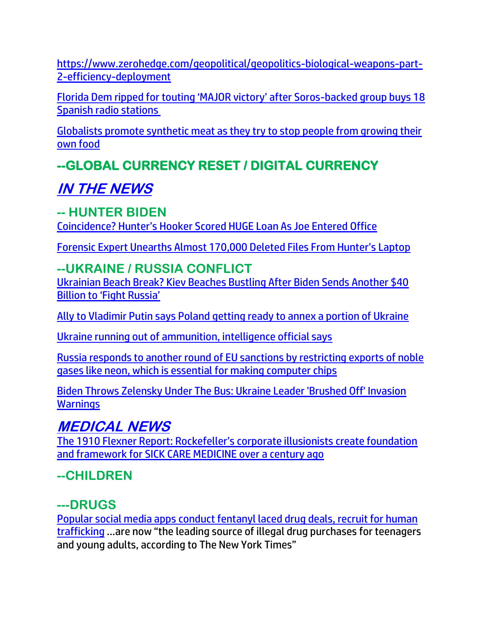[https://www.zerohedge.com/geopolitical/geopolitics-biological-weapons-part-](https://www.zerohedge.com/geopolitical/geopolitics-biological-weapons-part-2-efficiency-deployment)[2-efficiency-deployment](https://www.zerohedge.com/geopolitical/geopolitics-biological-weapons-part-2-efficiency-deployment)

[Florida Dem ripped for touting 'MAJOR victory' after Soros](https://americanwirenews.com/florida-dem-ripped-for-touting-major-victory-after-soros-backed-group-buys-18-spanish-radio-stations/)-backed group buys 18 [Spanish radio stations](https://americanwirenews.com/florida-dem-ripped-for-touting-major-victory-after-soros-backed-group-buys-18-spanish-radio-stations/)

[Globalists promote synthetic meat as they try to stop people from growing their](https://ce-publicdy.naturalnews.com/ct.asp?id=A14391AF0526A9641C53C5C99F523B1EEC055DD6C8F0595161EF3F06B8D0A42997513EE69CAD376A0C00474E6F150A72&ct=4aeUs2QAAABCWmgzMUFZJlNZyKIUuAAAGBmAAAPRUD%2fn3qAgAEiptGp6jGKMj01AY2TUbIyg2oNPUmLrshuAr6naWOEQXSnl62dsFKtyMGcYscoFRww41pWx0A2g59riwiiQsNMF3lro7tcXQgI5EHhfi7kinChIZFEKXAA%3d)  [own food](https://ce-publicdy.naturalnews.com/ct.asp?id=A14391AF0526A9641C53C5C99F523B1EEC055DD6C8F0595161EF3F06B8D0A42997513EE69CAD376A0C00474E6F150A72&ct=4aeUs2QAAABCWmgzMUFZJlNZyKIUuAAAGBmAAAPRUD%2fn3qAgAEiptGp6jGKMj01AY2TUbIyg2oNPUmLrshuAr6naWOEQXSnl62dsFKtyMGcYscoFRww41pWx0A2g59riwiiQsNMF3lro7tcXQgI5EHhfi7kinChIZFEKXAA%3d)

# **--GLOBAL CURRENCY RESET / DIGITAL CURRENCY**

# **IN THE NEWS**

## **-- HUNTER BIDEN**

Coincidence? Hunter's [Hooker Scored HUGE Loan As Joe Entered Office](https://trk.cp20.com/click/gak4-3ne87e-8bop2o-f4obzxf7/)

[Forensic Expert Unearths Almost 170,000 Deleted Files From Hunter's Laptop](https://welovetrump.com/2022/06/09/forensic-expert-unearths-almost-170000-deleted-files-from-hunters-laptop/)

# **--UKRAINE / RUSSIA CONFLICT**

[Ukrainian Beach Break? Kiev Beaches Bustling After Biden Sends Another \\$40](https://welovetrump.com/2022/06/13/ukrainian-beach-break-kiev-beaches-bustling-after-biden-sends-another-40-billion-to-fight-russia/)  [Billion to 'Fight Russia'](https://welovetrump.com/2022/06/13/ukrainian-beach-break-kiev-beaches-bustling-after-biden-sends-another-40-billion-to-fight-russia/)

[Ally to Vladimir Putin says Poland getting ready to annex a portion of Ukraine](https://www.naturalnews.com/2022-06-12-putin-ally-says-poland-to-annex-portion-of-ukraine.html)

[Ukraine running out of ammunition, intelligence official says](https://www.wnd.com/2022/06/ukraine-running-ammunition-intelligence-official-says/)

[Russia responds to another round of EU sanctions by restricting exports of noble](https://ce-publiclw.naturalnews.com/ct.asp?id=5D37F4AB1293D662BB7F0D499EB44BA256EC43DBB0AEB91862A438492B7FF6E403F7AEDC9FCB10DB99A3514000125E1F&ct=4aeUs1sAAABCWmgzMUFZJlNZu82CGQAAExmAAAPRkC7n3sAgAEFMmhpoEaYaQoAAAyZBP1gGJLnCWuqzowBs2OQlezVyjgcW4hGjIcQhwBGOdqYT6kkkK3ewyNN7F1enbDoDEQ0P4u5IpwoSF3mwQyA%3d)  [gases like neon, which is essential for making computer chips](https://ce-publiclw.naturalnews.com/ct.asp?id=5D37F4AB1293D662BB7F0D499EB44BA256EC43DBB0AEB91862A438492B7FF6E403F7AEDC9FCB10DB99A3514000125E1F&ct=4aeUs1sAAABCWmgzMUFZJlNZu82CGQAAExmAAAPRkC7n3sAgAEFMmhpoEaYaQoAAAyZBP1gGJLnCWuqzowBs2OQlezVyjgcW4hGjIcQhwBGOdqYT6kkkK3ewyNN7F1enbDoDEQ0P4u5IpwoSF3mwQyA%3d)

[Biden Throws Zelensky Under The Bus: Ukraine Leader 'Brushed Off' Invasion](https://www.zerohedge.com/geopolitical/biden-throws-zelensky-under-bus-ukraine-leader-brushed-invasion-warnings)  **[Warnings](https://www.zerohedge.com/geopolitical/biden-throws-zelensky-under-bus-ukraine-leader-brushed-invasion-warnings)** 

# **MEDICAL NEWS**

[The 1910 Flexner Report: Rockefeller's corporate illusionists create foundation](https://www.naturalnews.com/2022-06-12-1910-flexner-report-rockefellers-create-framework-for-sick-care-medicine.html)  [and framework for SICK CARE MEDICINE over a century ago](https://www.naturalnews.com/2022-06-12-1910-flexner-report-rockefellers-create-framework-for-sick-care-medicine.html)

# **--CHILDREN**

# **---DRUGS**

[Popular social media apps conduct fentanyl laced drug deals, recruit for human](https://delivery.email.saraacarter.com/GUIDARZE?id=153976=eh4CVwZWCQQBTFBUAAoNAFJRBFAACVZSAFxRVgtYAl5bBwFeAVYCAgUIClNeCVABBlceXlxdAxEKDCRUVABaVBcBXQtPVAYGAwgDAlUPDA0OAVQHAAkaChURFEADThxcXA5bEFYXSR1SXVJbChdGVUVTA1dWQxIHE0sHXFROdG1wJnM0aSAPWlNMRQE=&fl=URZGFkBfHxxDVV9XC1xBRl5XERpdVAMMBksHXFROUFRQAVk=&ext=dD1leUpoYkdjaU9pSklVekkxTmlJc0luUjVjQ0k2SWtwWFZDSjkuZXlKd0lqcGJiblZzYkN4dWRXeHNMQ0pvZEhSd2N6b3ZMM05oY21GaFkyRnlkR1Z5TG1OdmJTOXdiM0IxYkdGeUxYTnZZMmxoYkMxdFpXUnBZUzFoY0hCekxXTnZibVIxWTNRdFptVnVkR0Z1ZVd3dGJHRmpaV1F0WkhKMVp5MWtaV0ZzY3kxeVpXTnlkV2wwTFdadmNpMW9kVzFoYmkxMGNtRm1abWxqYTJsdVp5OF9kWFJ0WDNOdmRYSmpaVDFxWldWdVp5WnFaVzA5WXpWaE16ZzFOekJqTUdGa1kyTmpaamhoWWpOa1l6bGlZamN3TWpNelpqTWlMRzUxYkd3c01TeG1ZV3h6WlN4bVlXeHpaU3dpWkdRMU1EY3pNbVF0TTJObVlTMDBOV0kzTFRnMU1URXRObVZsTW1Fd05qQmhPRGN6SWl3aVlUVXhOR1JpWVRVdE16SmpOUzAwWkRFMkxXRmhNMk10WXpoaE5qRm1aRGhpTVdZNElpd2lPR0ZtTlRjd09EQXRPV014TXkwMFltUXpMV0k0Tm1ZdE1HSXpZelZrWmpreFpqRmlJaXdpYUhSMGNITTZMeTl6WVhKaFlXTmhjblJsY2k1amIyMHZjRzl3ZFd4aGNpMXpiMk5wWVd3dGJXVmthV0V0WVhCd2N5MWpiMjVrZFdOMExXWmxiblJoYm5sc0xXeGhZMlZrTFdSeWRXY3RaR1ZoYkhNdGNtVmpjblZwZEMxbWIzSXRhSFZ0WVc0dGRISmhabVpwWTJ0cGJtY3ZJaXdpWXpkd00xOHdJaXdpWlcxaGFXd2lMQ0pFVXlKZExDSnBZWFFpT2pFMk5UUTROall3T1RWOS5vWkxSZThHWk5TR3Nha1d1ZlloQXZDQ3J0TGNfUV9OVVpBSE5NaGY5NlU4)  [trafficking](https://delivery.email.saraacarter.com/GUIDARZE?id=153976=eh4CVwZWCQQBTFBUAAoNAFJRBFAACVZSAFxRVgtYAl5bBwFeAVYCAgUIClNeCVABBlceXlxdAxEKDCRUVABaVBcBXQtPVAYGAwgDAlUPDA0OAVQHAAkaChURFEADThxcXA5bEFYXSR1SXVJbChdGVUVTA1dWQxIHE0sHXFROdG1wJnM0aSAPWlNMRQE=&fl=URZGFkBfHxxDVV9XC1xBRl5XERpdVAMMBksHXFROUFRQAVk=&ext=dD1leUpoYkdjaU9pSklVekkxTmlJc0luUjVjQ0k2SWtwWFZDSjkuZXlKd0lqcGJiblZzYkN4dWRXeHNMQ0pvZEhSd2N6b3ZMM05oY21GaFkyRnlkR1Z5TG1OdmJTOXdiM0IxYkdGeUxYTnZZMmxoYkMxdFpXUnBZUzFoY0hCekxXTnZibVIxWTNRdFptVnVkR0Z1ZVd3dGJHRmpaV1F0WkhKMVp5MWtaV0ZzY3kxeVpXTnlkV2wwTFdadmNpMW9kVzFoYmkxMGNtRm1abWxqYTJsdVp5OF9kWFJ0WDNOdmRYSmpaVDFxWldWdVp5WnFaVzA5WXpWaE16ZzFOekJqTUdGa1kyTmpaamhoWWpOa1l6bGlZamN3TWpNelpqTWlMRzUxYkd3c01TeG1ZV3h6WlN4bVlXeHpaU3dpWkdRMU1EY3pNbVF0TTJObVlTMDBOV0kzTFRnMU1URXRObVZsTW1Fd05qQmhPRGN6SWl3aVlUVXhOR1JpWVRVdE16SmpOUzAwWkRFMkxXRmhNMk10WXpoaE5qRm1aRGhpTVdZNElpd2lPR0ZtTlRjd09EQXRPV014TXkwMFltUXpMV0k0Tm1ZdE1HSXpZelZrWmpreFpqRmlJaXdpYUhSMGNITTZMeTl6WVhKaFlXTmhjblJsY2k1amIyMHZjRzl3ZFd4aGNpMXpiMk5wWVd3dGJXVmthV0V0WVhCd2N5MWpiMjVrZFdOMExXWmxiblJoYm5sc0xXeGhZMlZrTFdSeWRXY3RaR1ZoYkhNdGNtVmpjblZwZEMxbWIzSXRhSFZ0WVc0dGRISmhabVpwWTJ0cGJtY3ZJaXdpWXpkd00xOHdJaXdpWlcxaGFXd2lMQ0pFVXlKZExDSnBZWFFpT2pFMk5UUTROall3T1RWOS5vWkxSZThHWk5TR3Nha1d1ZlloQXZDQ3J0TGNfUV9OVVpBSE5NaGY5NlU4) …are now "the leading source of illegal drug purchases for teenagers and young adults, according to The New York Times"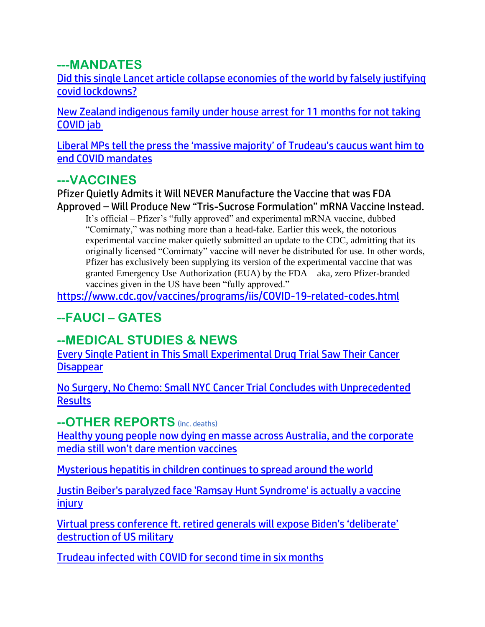### **---MANDATES**

[Did this single Lancet article collapse economies of the world by falsely justifying](https://ce-publicdy.naturalnews.com/ct.asp?id=7FA18A7686C71ED36664C115CB78E8D9FB40359BD989754E71DF3CAE2A3C8434F0B663EC764523194D69B434B6B4C8FB&ct=4aeUs2MAAABCWmgzMUFZJlNZqkrdTAAAGRmAAAPRUC%2fv3YAgAEiKeCmT1PUAeRNCKeQbUTQaMRtEW7g92JDw8O2oCW2VOYBqTaT76ITtVlFIll%2batG8ksEdy%2f9CVA64BbmWANqwZTDyr00jpE4pjQu5IpwoSFUlbqYA%3d)  [covid lockdowns?](https://ce-publicdy.naturalnews.com/ct.asp?id=7FA18A7686C71ED36664C115CB78E8D9FB40359BD989754E71DF3CAE2A3C8434F0B663EC764523194D69B434B6B4C8FB&ct=4aeUs2MAAABCWmgzMUFZJlNZqkrdTAAAGRmAAAPRUC%2fv3YAgAEiKeCmT1PUAeRNCKeQbUTQaMRtEW7g92JDw8O2oCW2VOYBqTaT76ITtVlFIll%2batG8ksEdy%2f9CVA64BbmWANqwZTDyr00jpE4pjQu5IpwoSFUlbqYA%3d)

[New Zealand indigenous family under house arrest for 11 months for not taking](https://www.lifesitenews.com/blogs/new-zealand-indigenous-family-under-house-arrest-for-11-months-for-not-taking-covid-jab/?utm_source=top_news&utm_campaign=usa)  [COVID jab](https://www.lifesitenews.com/blogs/new-zealand-indigenous-family-under-house-arrest-for-11-months-for-not-taking-covid-jab/?utm_source=top_news&utm_campaign=usa)

[Liberal MPs tell the press the 'massive majority' of Trudeau's caucus want him to](https://www.lifesitenews.com/news/liberal-mps-tell-the-press-the-massive-majority-of-trudeaus-caucus-want-him-to-end-covid-mandates/?utm_source=top_news&utm_campaign=usa)  [end COVID mandates](https://www.lifesitenews.com/news/liberal-mps-tell-the-press-the-massive-majority-of-trudeaus-caucus-want-him-to-end-covid-mandates/?utm_source=top_news&utm_campaign=usa)

## **---VACCINES**

Pfizer Quietly Admits it Will NEVER Manufacture the Vaccine that was FDA Approved – Will Produce New "Tris-Sucrose Formulation" mRNA Vaccine Instead.

It's official – Pfizer's "fully approved" and experimental mRNA vaccine, dubbed "Comirnaty," was nothing more than a head-fake. Earlier this week, the notorious experimental vaccine maker quietly submitted an update to the CDC, admitting that its originally licensed "Comirnaty" vaccine will never be distributed for use. In other words, Pfizer has exclusively been supplying its version of the experimental vaccine that was granted Emergency Use Authorization (EUA) by the FDA – aka, zero Pfizer-branded vaccines given in the US have been "fully approved."

<https://www.cdc.gov/vaccines/programs/iis/COVID-19-related-codes.html>

# **--FAUCI – GATES**

## **--MEDICAL STUDIES & NEWS**

[Every Single Patient in This Small Experimental Drug Trial Saw Their Cancer](https://www.sciencealert.com/every-single-patient-in-this-small-experimental-drug-trial-saw-their-cancer-disappear)  **[Disappear](https://www.sciencealert.com/every-single-patient-in-this-small-experimental-drug-trial-saw-their-cancer-disappear)** 

[No Surgery, No Chemo: Small NYC Cancer Trial Concludes with Unprecedented](https://www.westernjournal.com/no-surgery-no-chemo-small-nyc-cancer-trial-concludes-unprecedented-results/)  **[Results](https://www.westernjournal.com/no-surgery-no-chemo-small-nyc-cancer-trial-concludes-unprecedented-results/)** 

#### **--OTHER REPORTS** (inc. deaths)

[Healthy young people now dying en masse across Australia, and the corporate](https://www.naturalnews.com/2022-06-12-healthy-young-people-now-dying-en-masse-across-australia.html)  [media still won't dare mention vaccines](https://www.naturalnews.com/2022-06-12-healthy-young-people-now-dying-en-masse-across-australia.html)

[Mysterious hepatitis in children continues to spread around the world](https://www.naturalnews.com/2022-06-13-mysterious-hepatitis-children-continues-spread-around-world.html)

[Justin Beiber's paralyzed face 'Ramsay Hunt Syndrome' is actually a vaccine](https://ce-publicdy.naturalnews.com/ct.asp?id=DDD8A486A2BC141CA8485F7531C2C3C28AF667F45B03E33A8EFD1E1DF0A7BE4EE5EDC754DD004EAF6F0476E23EBD7E3E&ct=4aeUsz4AAABCWmgzMUFZJlNZ5qRhHQAAF5mAAAP3sD%2fj3IAgAFRQAAAAaFI2UxPU9E9NTTQ2pRxybFcT6lpM0KAIIU2tHKXUCUBGG63bs7EnvitkWavwAGIAo%2fF3JFOFCQ5qRhHQ)  [injury](https://ce-publicdy.naturalnews.com/ct.asp?id=DDD8A486A2BC141CA8485F7531C2C3C28AF667F45B03E33A8EFD1E1DF0A7BE4EE5EDC754DD004EAF6F0476E23EBD7E3E&ct=4aeUsz4AAABCWmgzMUFZJlNZ5qRhHQAAF5mAAAP3sD%2fj3IAgAFRQAAAAaFI2UxPU9E9NTTQ2pRxybFcT6lpM0KAIIU2tHKXUCUBGG63bs7EnvitkWavwAGIAo%2fF3JFOFCQ5qRhHQ)

[Virtual press conference ft. retired generals will expose Biden's 'deliberate'](https://www.lifesitenews.com/news/virtual-press-conference-ft-retired-generals-will-expose-bidens-deliberate-destruction-of-us-military/?utm_source=featured&utm_campaign=usa)  [destruction of US military](https://www.lifesitenews.com/news/virtual-press-conference-ft-retired-generals-will-expose-bidens-deliberate-destruction-of-us-military/?utm_source=featured&utm_campaign=usa)

[Trudeau infected with COVID for second time in six months](https://www.lifesitenews.com/news/trudeau-infected-with-covid-for-second-time-in-six-months/?utm_source=top_news&utm_campaign=usa)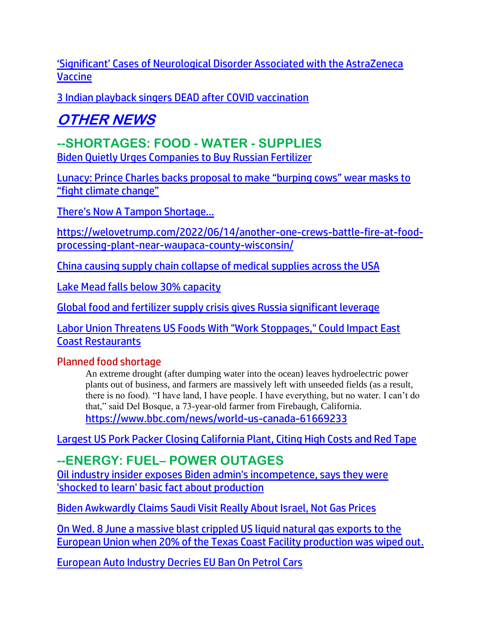['Significant' Cases of Neurological Disorder Associated with the AstraZeneca](https://lists.youmaker.com/links/Jg2Tr9Dtcn/Jlid8tcrj/7xAbPNiP2/pmRtvbnIBy)  [Vaccine](https://lists.youmaker.com/links/Jg2Tr9Dtcn/Jlid8tcrj/7xAbPNiP2/pmRtvbnIBy)

[3 Indian playback singers DEAD after COVID vaccination](https://www.naturalnews.com/2022-06-13-3-indian-singers-dead-after-covid-vaccination.html)

# **OTHER NEWS**

# **--SHORTAGES: FOOD - WATER - SUPPLIES**

[Biden Quietly Urges Companies to Buy Russian Fertilizer](https://welovetrump.com/2022/06/13/biden-quietly-urges-companies-to-buy-russian-fertilizer/)

[Lunacy: Prince Charles backs proposal to make "burping cows" wear masks to](https://www.naturalnews.com/2022-06-12-prince-charles-backs-proposal-make-cows-wear-masks.html)  ["fight climate change"](https://www.naturalnews.com/2022-06-12-prince-charles-backs-proposal-make-cows-wear-masks.html)

[There's Now A Tampon Shortage…](https://welovetrump.com/2022/06/11/theres-now-a-tampon-shortage/)

[https://welovetrump.com/2022/06/14/another-one-crews-battle-fire-at-food](https://welovetrump.com/2022/06/14/another-one-crews-battle-fire-at-food-processing-plant-near-waupaca-county-wisconsin/)[processing-plant-near-waupaca-county-wisconsin/](https://welovetrump.com/2022/06/14/another-one-crews-battle-fire-at-food-processing-plant-near-waupaca-county-wisconsin/)

[China causing supply chain collapse of medical](https://ce-publicdy.naturalnews.com/ct.asp?id=F26BD18C2E9642AA518D8F635730798BF1B6D54C80E07235D491090AA1EE2431708BB6B3E46042739C6AE5E6E08A602F&ct=4aeUsz4AAABCWmgzMUFZJlNZMtbtrQAAF5mAAAP%2f8Dvj3IAgAEEUwgyek0eU8pkbUKAAAAAVENWtzaXZC5ASNKvefQG7TBJRZzRYvFYZsW%2ft7tgCrLZmg5gP8XckU4UJAy1u2tA%3d) supplies across the USA

[Lake Mead falls below 30% capacity](https://www.naturalnews.com/2022-06-12-lake-mead-falls-below-30-capacity.html)

[Global food and fertilizer supply crisis gives Russia significant leverage](https://ce-publicdy.naturalnews.com/ct.asp?id=7D9755EAAFA6FBE7EB97753EE98D88DD856E87F40BD1944A2CE62EBA27AD031F2B0F694196D5A896749E311C87A78BD1&ct=4aeUs14AAABCWmgzMUFZJlNZWt3M5AAAFhmAAAPRMC%2fn37AgAEip6Taj1N6pp6jJp6RkKMj1EyHqaaMRiB3CMCay3XxZcOJ%2fOUagdJauMMWfv2ruw%2bJy3I0gJ84TaJfo7IspAUok9DhYB3WZMM2weTKzboXckU4UJBa3czkA)

Labor Union Threatens US Foods With "Work Stoppages," Could Impact East Coast [Restaurants](https://www.zerohedge.com/markets/not-afraid-strike-teamsters-warn-us-foods-east-coast-walkout-could-impact-restaurants)

#### Planned food shortage

An extreme drought (after dumping water into the ocean) leaves hydroelectric power plants out of business, and farmers are massively left with unseeded fields (as a result, there is no food). "I have land, I have people. I have everything, but no water. I can't do that," said Del Bosque, a 73-year-old farmer from Firebaugh, California. <https://www.bbc.com/news/world-us-canada-61669233>

[Largest US Pork Packer Closing California Plant, Citing High Costs and Red Tape](https://lists.youmaker.com/links/Jg2Tr9Dtcn/Jlid8tcrj/7xAbPNiP2/xWiB3evdRN) 

# **--ENERGY: FUEL– POWER OUTAGES**

[Oil industry insider exposes Biden admin's incompetence, says they were](https://link.theblaze.com/click/28044690.1037073/aHR0cHM6Ly93d3cudGhlYmxhemUuY29tL25ld3MvMjY1NzVvaWwtaW5kdXN0cnktaW5zaWRlci1leHBvc2VzLWJpZGVuLWFkbWlucy1pbmNvbXBldGVuY2Utc2F5cy10aGV5LXdlcmUtc2hvY2tlZC10by1sZWFybi1iYXNpYy1mYWN0LWFib3V0LXByb2R1Y3Rpb24wMzEwNj91dG1fc291cmNlPXRoZWJsYXplLWRhaWx5UE0mdXRtX21lZGl1bT1lbWFpbCZ1dG1fY2FtcGFpZ249RGFpbHktTmV3c2xldHRlcl9fUE0gMjAyMi0wNi0xMyZ1dG1fdGVybT1BQ1RJVkUgTElTVCAtIFRoZUJsYXplIERhaWx5IFBN/61f82015384ca325d2cdab60Cd01d91da)  ['shocked to learn' basic fact about production](https://link.theblaze.com/click/28044690.1037073/aHR0cHM6Ly93d3cudGhlYmxhemUuY29tL25ld3MvMjY1NzVvaWwtaW5kdXN0cnktaW5zaWRlci1leHBvc2VzLWJpZGVuLWFkbWlucy1pbmNvbXBldGVuY2Utc2F5cy10aGV5LXdlcmUtc2hvY2tlZC10by1sZWFybi1iYXNpYy1mYWN0LWFib3V0LXByb2R1Y3Rpb24wMzEwNj91dG1fc291cmNlPXRoZWJsYXplLWRhaWx5UE0mdXRtX21lZGl1bT1lbWFpbCZ1dG1fY2FtcGFpZ249RGFpbHktTmV3c2xldHRlcl9fUE0gMjAyMi0wNi0xMyZ1dG1fdGVybT1BQ1RJVkUgTElTVCAtIFRoZUJsYXplIERhaWx5IFBN/61f82015384ca325d2cdab60Cd01d91da)

[Biden Awkwardly Claims Saudi Visit Really About Israel, Not Gas Prices](https://www.zerohedge.com/geopolitical/biden-awkwardly-claims-saudi-visit-really-about-israel-not-gas-prices)

On Wed. 8 June a [massive blast crippled US liquid natural gas exports to the](https://www.rt.com/business/556841-freeport-lng-explosion-exports/)  [European Union when 20% of the Texas Coast Facility production was wiped out.](https://www.rt.com/business/556841-freeport-lng-explosion-exports/)

[European Auto Industry Decries EU Ban On Petrol Cars](https://www.zerohedge.com/political/european-auto-industry-decries-eu-ban-petrol-cars)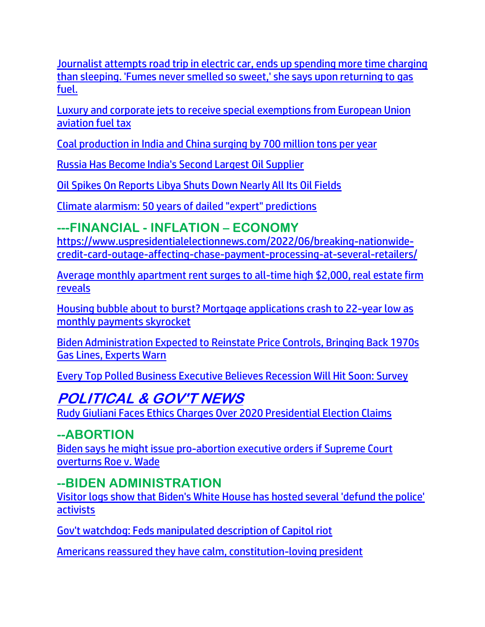[Journalist attempts road trip in electric car, ends up spending more time charging](https://link.theblaze.com/click/27982437.1031576/aHR0cHM6Ly93d3cudGhlYmxhemUuY29tL25ld3Mvd3NqLWpvdXJuYWxpc3QtcmVncmV0cy1lbGVjdHJpYy1jYXItcm9hZC10cmlwP3V0bV9zb3VyY2U9dGhlYmxhemUtZGFpbHlBTSZ1dG1fbWVkaXVtPWVtYWlsJnV0bV9jYW1wYWlnbj1EYWlseS1OZXdzbGV0dGVyX19BTSAyMDIyLTA2LTA4JnV0bV90ZXJtPUFDVElWRSBMSVNUIC0gVGhlQmxhemUgRGFpbHkgQU0/61f82015384ca325d2cdab60C91f0ab21)  [than sleeping. 'Fumes never smelled so sweet,' she says upon returning to gas](https://link.theblaze.com/click/27982437.1031576/aHR0cHM6Ly93d3cudGhlYmxhemUuY29tL25ld3Mvd3NqLWpvdXJuYWxpc3QtcmVncmV0cy1lbGVjdHJpYy1jYXItcm9hZC10cmlwP3V0bV9zb3VyY2U9dGhlYmxhemUtZGFpbHlBTSZ1dG1fbWVkaXVtPWVtYWlsJnV0bV9jYW1wYWlnbj1EYWlseS1OZXdzbGV0dGVyX19BTSAyMDIyLTA2LTA4JnV0bV90ZXJtPUFDVElWRSBMSVNUIC0gVGhlQmxhemUgRGFpbHkgQU0/61f82015384ca325d2cdab60C91f0ab21)  [fuel.](https://link.theblaze.com/click/27982437.1031576/aHR0cHM6Ly93d3cudGhlYmxhemUuY29tL25ld3Mvd3NqLWpvdXJuYWxpc3QtcmVncmV0cy1lbGVjdHJpYy1jYXItcm9hZC10cmlwP3V0bV9zb3VyY2U9dGhlYmxhemUtZGFpbHlBTSZ1dG1fbWVkaXVtPWVtYWlsJnV0bV9jYW1wYWlnbj1EYWlseS1OZXdzbGV0dGVyX19BTSAyMDIyLTA2LTA4JnV0bV90ZXJtPUFDVElWRSBMSVNUIC0gVGhlQmxhemUgRGFpbHkgQU0/61f82015384ca325d2cdab60C91f0ab21)

[Luxury and corporate jets to receive special exemptions from European Union](https://link.theblaze.com/click/27976252.899752/aHR0cHM6Ly93d3cudGhlYmxhemUuY29tL25ld3MvLTI2NTc0NzA0NzY_dXRtX3NvdXJjZT10aGVibGF6ZS03RGF5VHJlbmRpbmdUZXN0JnV0bV9tZWRpdW09ZW1haWwmdXRtX2NhbXBhaWduPUFmdGVybm9vbiBBdXRvIFRyZW5kaW5nIDcgRGF5IEVuZ2FnZWQgMjAyMi0wNi0wNyZ1dG1fdGVybT1BQ1RJVkUgTElTVCAtIDcgRGF5IEVuZ2FnZW1lbnQ/61f82015384ca325d2cdab60Cc2d6c124)  [aviation fuel tax](https://link.theblaze.com/click/27976252.899752/aHR0cHM6Ly93d3cudGhlYmxhemUuY29tL25ld3MvLTI2NTc0NzA0NzY_dXRtX3NvdXJjZT10aGVibGF6ZS03RGF5VHJlbmRpbmdUZXN0JnV0bV9tZWRpdW09ZW1haWwmdXRtX2NhbXBhaWduPUFmdGVybm9vbiBBdXRvIFRyZW5kaW5nIDcgRGF5IEVuZ2FnZWQgMjAyMi0wNi0wNyZ1dG1fdGVybT1BQ1RJVkUgTElTVCAtIDcgRGF5IEVuZ2FnZW1lbnQ/61f82015384ca325d2cdab60Cc2d6c124)

[Coal production in India and China surging by 700 million tons per year](https://www.wnd.com/2022/06/coal-production-india-china-surging-700-million-tons-per-year/)

[Russia Has Become India's Second Largest Oil Supplier](https://www.zerohedge.com/geopolitical/russia-has-become-indias-second-largest-oil-supplier)

[Oil Spikes On Reports Libya Shuts Down Nearly All Its Oil Fields](https://www.zerohedge.com/energy/libya-loses-11-million-bpd-it-shuts-down-nearly-all-its-oil-fields)

[Climate alarmism: 50 years of dailed "expert" predictions](https://ce-publicdy.naturalnews.com/ct.asp?id=E7351835A5638F185ECE4E1145F1DAE6DAE97A285FBDF1C64570A2D61205C69B4CEE2DC2FD929EA44CE35D7D7A1D5CD9&ct=4aeUsz4AAABCWmgzMUFZJlNZ683fKAAAF5mAAAP%2f8D%2fj3IAgAEEU9TTRmkbRHlDQ2oYwAAAAGpPk1jsUuYz3c4UymrzSD80xqKXgs1oPWzGQe%2bVa4KUfmZw3Cn4u5IpwoSHXm75Q)

**---FINANCIAL - INFLATION – ECONOMY**

[https://www.uspresidentialelectionnews.com/2022/06/breaking-nationwide](https://www.uspresidentialelectionnews.com/2022/06/breaking-nationwide-credit-card-outage-affecting-chase-payment-processing-at-several-retailers/)[credit-card-outage-affecting-chase-payment-processing-at-several-retailers/](https://www.uspresidentialelectionnews.com/2022/06/breaking-nationwide-credit-card-outage-affecting-chase-payment-processing-at-several-retailers/)

[Average monthly apartment rent surges to all-time high \\$2,000, real estate firm](https://www.naturalnews.com/2022-06-12-average-apartment-rent-surges-all-time-high.html)  [reveals](https://www.naturalnews.com/2022-06-12-average-apartment-rent-surges-all-time-high.html)

[Housing bubble about to burst? Mortgage applications crash to 22-year low as](https://ce-publicdy.naturalnews.com/ct.asp?id=27562ABEE405B5CF762449E6EE30A648BA8EB7CAC7914E4EBB230859B1D86D5390596C2E36E9979D464C0CFD1613F391&ct=4aeUs2cAAABCWmgzMUFZJlNZ8xb8UQAAGBmAAAPxED7v3qAgAHIo0NAAAARTE2psmKepoGmSYovusvJXDC%2bJSoQaTASCfCYtPv7mRXeN%2fgX3FCIHF4sjtnYzed1TWJ5Gld6wTI8THqmNwsyKRxshFDS8fF3JFOFCQ8xb8UQ%3d)  [monthly payments skyrocket](https://ce-publicdy.naturalnews.com/ct.asp?id=27562ABEE405B5CF762449E6EE30A648BA8EB7CAC7914E4EBB230859B1D86D5390596C2E36E9979D464C0CFD1613F391&ct=4aeUs2cAAABCWmgzMUFZJlNZ8xb8UQAAGBmAAAPxED7v3qAgAHIo0NAAAARTE2psmKepoGmSYovusvJXDC%2bJSoQaTASCfCYtPv7mRXeN%2fgX3FCIHF4sjtnYzed1TWJ5Gld6wTI8THqmNwsyKRxshFDS8fF3JFOFCQ8xb8UQ%3d)

[Biden Administration Expected to Reinstate Price Controls, Bringing Back 1970s](https://lists.youmaker.com/links/VsEhB1B9aF/Jlid8tcrj/7xAbPNiP2/3ekexe8hCY)  [Gas Lines, Experts Warn](https://lists.youmaker.com/links/VsEhB1B9aF/Jlid8tcrj/7xAbPNiP2/3ekexe8hCY)

[Every Top Polled Business Executive Believes Recession Will Hit Soon: Survey](https://lists.youmaker.com/links/QJallb07YE/Jlid8tcrj/7xAbPNiP2/wlBaJxR6nm)

# **POLITICAL & GOV'T NEWS**

[Rudy Giuliani Faces Ethics Charges Over 2020 Presidential Election Claims](https://lists.youmaker.com/links/Jg2Tr9Dtcn/Jlid8tcrj/7xAbPNiP2/dYPUgrHvpjG)

## **--ABORTION**

[Biden says he might issue pro-abortion executive orders if Supreme Court](https://link.theblaze.com/click/28001125.1152963/aHR0cHM6Ly93d3cudGhlYmxhemUuY29tL25ld3MvYmlkZW4tYWJvcnRpb24tZXhlY3V0aXZlLW9yZGVyLXNjb3R1cz91dG1fc291cmNlPXRoZWJsYXplLWJyZWFraW5nJnV0bV9tZWRpdW09ZW1haWwmdXRtX2NhbXBhaWduPTIwMjIwNjEwU3BvbnNvcmVkVHJlbmRpbmctR3JpcDYmdXRtX3Rlcm09QUNUSVZFIExJU1QgLSBUaGVCbGF6ZSBCcmVha2luZyBOZXdz/61f82015384ca325d2cdab60C09610d49)  [overturns Roe v. Wade](https://link.theblaze.com/click/28001125.1152963/aHR0cHM6Ly93d3cudGhlYmxhemUuY29tL25ld3MvYmlkZW4tYWJvcnRpb24tZXhlY3V0aXZlLW9yZGVyLXNjb3R1cz91dG1fc291cmNlPXRoZWJsYXplLWJyZWFraW5nJnV0bV9tZWRpdW09ZW1haWwmdXRtX2NhbXBhaWduPTIwMjIwNjEwU3BvbnNvcmVkVHJlbmRpbmctR3JpcDYmdXRtX3Rlcm09QUNUSVZFIExJU1QgLSBUaGVCbGF6ZSBCcmVha2luZyBOZXdz/61f82015384ca325d2cdab60C09610d49)

# **--BIDEN ADMINISTRATION**

[Visitor logs show that Biden's White House has hosted several 'defund the police'](https://link.theblaze.com/click/28041345.935777/aHR0cHM6Ly93d3cudGhlYmxhemUuY29tL25ld3MvLTI2NTc1MDIwODE_dXRtX3NvdXJjZT10aGVibGF6ZS03RGF5VHJlbmRpbmdUZXN0JnV0bV9tZWRpdW09ZW1haWwmdXRtX2NhbXBhaWduPUFmdGVybm9vbiBBdXRvIFRyZW5kaW5nIDcgRGF5IEVuZ2FnZWQgMjAyMi0wNi0xMyZ1dG1fdGVybT1BQ1RJVkUgTElTVCAtIDcgRGF5IEVuZ2FnZW1lbnQ/61f82015384ca325d2cdab60Ce4426677)  [activists](https://link.theblaze.com/click/28041345.935777/aHR0cHM6Ly93d3cudGhlYmxhemUuY29tL25ld3MvLTI2NTc1MDIwODE_dXRtX3NvdXJjZT10aGVibGF6ZS03RGF5VHJlbmRpbmdUZXN0JnV0bV9tZWRpdW09ZW1haWwmdXRtX2NhbXBhaWduPUFmdGVybm9vbiBBdXRvIFRyZW5kaW5nIDcgRGF5IEVuZ2FnZWQgMjAyMi0wNi0xMyZ1dG1fdGVybT1BQ1RJVkUgTElTVCAtIDcgRGF5IEVuZ2FnZW1lbnQ/61f82015384ca325d2cdab60Ce4426677)

[Gov't watchdog: Feds manipulated description of Capitol riot](https://www.wnd.com/2022/06/government-watchdog-feds-manipulated-description-capitol-riot/)

[Americans reassured they have calm, constitution-loving president](https://inform.afa.net/optiext/optiextension.dll?ID=QijQjUZ%2BH55t89YxYeRCzayK2yMOZn3Q1AJmkONveHeZyrCAdOE8jENg3XxWU0AYQJrYrgm_mMBZlqoPc_7QOAqyLdy19AupVszw%2B5QP)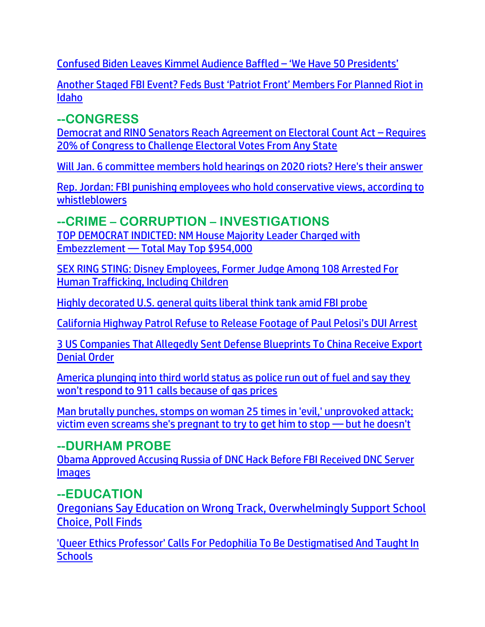[Confused Biden Leaves Kimmel Audience Baffled](https://www.westernjournal.com/watch-confused-biden-leaves-kimmel-audience-baffled-50-presidents/?utm_source=Email&utm_medium=newsletter-weekly-WJ&utm_campaign=weeklyam&utm_content=western-journal&ats_es=%5B-MD5-%5D) – 'We Have 50 Presidents'

[Another Staged FBI Event? Feds Bust 'Patriot Front' Members For Planned Riot in](https://welovetrump.com/2022/06/12/another-staged-fbi-event-feds-bust-patriot-front-members-for-planned-riot-in-idaho/)  [Idaho](https://welovetrump.com/2022/06/12/another-staged-fbi-event-feds-bust-patriot-front-members-for-planned-riot-in-idaho/)

## **--CONGRESS**

[Democrat and RINO Senators Reach Agreement on Electoral Count Act](https://welovetrump.com/2022/06/12/democrat-and-rino-senators-reach-agreement-on-electoral-count-act-requires-20-of-congress-to-challenge-electoral-votes-from-any-state/) – Requires [20% of Congress to Challenge Electoral Votes From Any State](https://welovetrump.com/2022/06/12/democrat-and-rino-senators-reach-agreement-on-electoral-count-act-requires-20-of-congress-to-challenge-electoral-votes-from-any-state/)

[Will Jan. 6 committee members hold hearings on 2020 riots? Here's their answer](https://www.wnd.com/2022/06/will-jan-6-committee-members-hold-hearings-2020-riots-answer/)

[Rep. Jordan: FBI punishing employees who hold conservative views, according to](https://www.naturalnews.com/2022-06-10-fbi-punishing-employees-with-conservative-views-whistleblowers.html)  [whistleblowers](https://www.naturalnews.com/2022-06-10-fbi-punishing-employees-with-conservative-views-whistleblowers.html)

## **--CRIME – CORRUPTION – INVESTIGATIONS**

[TOP DEMOCRAT INDICTED: NM House Majority Leader Charged with](https://www.thegatewaypundit.com/2021/07/top-democrat-indicted-nm-house-majority-leader-charged-embezzlement-total-may-top-954000/)  Embezzlement — [Total May Top \\$954,000](https://www.thegatewaypundit.com/2021/07/top-democrat-indicted-nm-house-majority-leader-charged-embezzlement-total-may-top-954000/)

[SEX RING STING: Disney Employees, Former Judge Among 108 Arrested For](https://welovetrump.com/2022/06/09/sex-ring-sting-disney-employees-former-judge-among-108-arrested-for-human-trafficking-including-children/)  [Human Trafficking, Including Children](https://welovetrump.com/2022/06/09/sex-ring-sting-disney-employees-former-judge-among-108-arrested-for-human-trafficking-including-children/)

[Highly decorated U.S. general quits liberal think tank amid FBI probe](https://www.wnd.com/2022/06/highly-decorated-u-s-general-quits-liberal-think-tank-amid-fbi-probe/)

[California Highway Patrol Refuse to Release Footage of Paul Pelosi's DUI Arrest](https://welovetrump.com/2022/06/11/california-highway-patrol-refuse-to-release-footage-of-paul-pelosis-dui-arrest/)

[3 US Companies That Allegedly Sent Defense Blueprints To China Receive Export](https://www.zerohedge.com/geopolitical/3-us-companies-allegedly-sent-defense-blueprints-china-receive-export-denial-order)  [Denial Order](https://www.zerohedge.com/geopolitical/3-us-companies-allegedly-sent-defense-blueprints-china-receive-export-denial-order)

[America plunging into third world status as police run out of fuel and say they](https://ratherexposethem.org/2022/06/11/america-plunging-into-third-world-status-as-police-run-out-of-fuel-and-say-they-wont-respond-to-911-calls-because-of-gas-prices/)  [won't respond to 911 calls because of gas prices](https://ratherexposethem.org/2022/06/11/america-plunging-into-third-world-status-as-police-run-out-of-fuel-and-say-they-wont-respond-to-911-calls-because-of-gas-prices/)

[Man brutally punches, stomps on woman 25 times in 'evil,' unprovoked attack;](https://link.theblaze.com/click/28016304.932071/aHR0cHM6Ly93d3cudGhlYmxhemUuY29tL25ld3MvbWFuLWJydXRhbGx5LWJlYXRzLXdvbWFuLXBob2VuaXg_dXRtX3NvdXJjZT10aGVibGF6ZS03RGF5VHJlbmRpbmdUZXN0JnV0bV9tZWRpdW09ZW1haWwmdXRtX2NhbXBhaWduPUFmdGVybm9vbiBBdXRvIFRyZW5kaW5nIDcgRGF5IEVuZ2FnZWQgMjAyMi0wNi0xMCZ1dG1fdGVybT1BQ1RJVkUgTElTVCAtIDcgRGF5IEVuZ2FnZW1lbnQ/61f82015384ca325d2cdab60C7391782b)  [victim even screams she's pregnant to try to get him to stop](https://link.theblaze.com/click/28016304.932071/aHR0cHM6Ly93d3cudGhlYmxhemUuY29tL25ld3MvbWFuLWJydXRhbGx5LWJlYXRzLXdvbWFuLXBob2VuaXg_dXRtX3NvdXJjZT10aGVibGF6ZS03RGF5VHJlbmRpbmdUZXN0JnV0bV9tZWRpdW09ZW1haWwmdXRtX2NhbXBhaWduPUFmdGVybm9vbiBBdXRvIFRyZW5kaW5nIDcgRGF5IEVuZ2FnZWQgMjAyMi0wNi0xMCZ1dG1fdGVybT1BQ1RJVkUgTElTVCAtIDcgRGF5IEVuZ2FnZW1lbnQ/61f82015384ca325d2cdab60C7391782b) — but he doesn't

## **--DURHAM PROBE**

[Obama Approved Accusing Russia of DNC Hack Before FBI Received DNC Server](https://lists.youmaker.com/links/VsEhB1B9aF/Jlid8tcrj/7xAbPNiP2/mrs5AUZ6Ne)  **[Images](https://lists.youmaker.com/links/VsEhB1B9aF/Jlid8tcrj/7xAbPNiP2/mrs5AUZ6Ne)** 

## **--EDUCATION**

[Oregonians Say Education on Wrong Track, Overwhelmingly Support School](https://lists.youmaker.com/links/SWLqUPVHrv/Jlid8tcrj/7xAbPNiP2/LDklyE5VqB)  [Choice, Poll Finds](https://lists.youmaker.com/links/SWLqUPVHrv/Jlid8tcrj/7xAbPNiP2/LDklyE5VqB)

['Queer Ethics Professor' Calls For Pedophilia To Be Destigmatised And Taught In](https://www.zerohedge.com/political/queer-ethics-professor-calls-pedophilia-be-destigmatised-and-taught-schools)  **[Schools](https://www.zerohedge.com/political/queer-ethics-professor-calls-pedophilia-be-destigmatised-and-taught-schools)**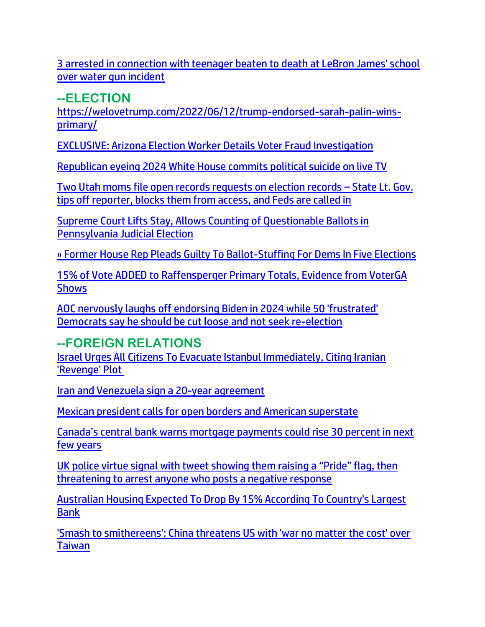[3 arrested in connection with teenager beaten to death at LeBron James' school](https://www.theblaze.com/news/teenager-beaten-to-death-lebron-school)  [over water gun incident](https://www.theblaze.com/news/teenager-beaten-to-death-lebron-school) 

**--ELECTION**

[https://welovetrump.com/2022/06/12/trump-endorsed-sarah-palin-wins](https://welovetrump.com/2022/06/12/trump-endorsed-sarah-palin-wins-primary/)[primary/](https://welovetrump.com/2022/06/12/trump-endorsed-sarah-palin-wins-primary/)

[EXCLUSIVE: Arizona Election Worker Details Voter Fraud Investigation](https://lists.youmaker.com/links/SWLqUPVHrv/Jlid8tcrj/7xAbPNiP2/lpp2Dlabje)

[Republican eyeing 2024 White House commits political suicide on live TV](https://www.wnd.com/2022/06/gop-gov-eyeing-wh-2024-commits-political-suicide-live-fox-news-trump-insult/)

[Two Utah moms file open records requests on election records](https://www.naturalnews.com/2022-06-13-two-utah-moms-file-open-records-requests.html) – State Lt. Gov. [tips off reporter, blocks them from access, and Feds are called in](https://www.naturalnews.com/2022-06-13-two-utah-moms-file-open-records-requests.html)

[Supreme Court Lifts Stay, Allows Counting of Questionable Ballots in](https://lists.youmaker.com/links/ZdXyX8GEqy/Jlid8tcrj/7xAbPNiP2/LmTYYBYbZC) [Pennsylvania Judicial Election](https://lists.youmaker.com/links/ZdXyX8GEqy/Jlid8tcrj/7xAbPNiP2/LmTYYBYbZC)

[» Former House Rep Pleads Guilty To Ballot-Stuffing For Dems In Five Elections](https://trk.cp20.com/click/gak4-3nf4ts-8boznc-f4obzxf7/)

[15% of Vote ADDED to Raffensperger Primary Totals, Evidence from VoterGA](https://welovetrump.com/2022/06/09/15-of-vote-added-to-raffensperger-primary-totals-evidence-from-voterga-shows/)  **[Shows](https://welovetrump.com/2022/06/09/15-of-vote-added-to-raffensperger-primary-totals-evidence-from-voterga-shows/)** 

[AOC nervously laughs off endorsing Biden in 2024 while 50 'frustrated'](https://link.theblaze.com/click/28033567.1040085/aHR0cHM6Ly93d3cudGhlYmxhemUuY29tL25ld3MvYW9jLWJpZGVuLTIwMjQtZWxlY3Rpb24_dXRtX3NvdXJjZT10aGVibGF6ZS1kYWlseVBNJnV0bV9tZWRpdW09ZW1haWwmdXRtX2NhbXBhaWduPURhaWx5LU5ld3NsZXR0ZXJfX1BNIDIwMjItMDYtMTImdXRtX3Rlcm09QUNUSVZFIExJU1QgLSBUaGVCbGF6ZSBEYWlseSBQTQ/61f82015384ca325d2cdab60C843476e4)  [Democrats say he should be cut loose and not seek re-election](https://link.theblaze.com/click/28033567.1040085/aHR0cHM6Ly93d3cudGhlYmxhemUuY29tL25ld3MvYW9jLWJpZGVuLTIwMjQtZWxlY3Rpb24_dXRtX3NvdXJjZT10aGVibGF6ZS1kYWlseVBNJnV0bV9tZWRpdW09ZW1haWwmdXRtX2NhbXBhaWduPURhaWx5LU5ld3NsZXR0ZXJfX1BNIDIwMjItMDYtMTImdXRtX3Rlcm09QUNUSVZFIExJU1QgLSBUaGVCbGF6ZSBEYWlseSBQTQ/61f82015384ca325d2cdab60C843476e4)

# **--FOREIGN RELATIONS**

[Israel Urges All Citizens To Evacuate Istanbul Immediately, Citing Iranian](https://www.zerohedge.com/geopolitical/israel-urges-all-citizens-evacuate-istanbul-immediately-citing-iranian-revenge-plot)  ['Revenge' Plot](https://www.zerohedge.com/geopolitical/israel-urges-all-citizens-evacuate-istanbul-immediately-citing-iranian-revenge-plot)

[Iran and Venezuela sign a 20-year agreement](https://link.theblaze.com/click/28033567.1040085/aHR0cHM6Ly93d3cudGhlYmxhemUuY29tL25ld3MvLTI2NTc0OTc0Nzc_dXRtX3NvdXJjZT10aGVibGF6ZS1kYWlseVBNJnV0bV9tZWRpdW09ZW1haWwmdXRtX2NhbXBhaWduPURhaWx5LU5ld3NsZXR0ZXJfX1BNIDIwMjItMDYtMTImdXRtX3Rlcm09QUNUSVZFIExJU1QgLSBUaGVCbGF6ZSBEYWlseSBQTQ/61f82015384ca325d2cdab60Ca0a3f6a6)

[Mexican president calls for open borders and American superstate](https://ratherexposethem.org/2022/06/11/mexican-president-calls-for-open-borders-and-american-superstate/)

[Canada's central bank warns mortgage payments could rise 30 percent in next](https://www.lifesitenews.com/news/canadas-central-bank-warns-mortgage-payments-could-rise-30-percent-in-next-few-years/?utm_source=top_news&utm_campaign=usa)  [few years](https://www.lifesitenews.com/news/canadas-central-bank-warns-mortgage-payments-could-rise-30-percent-in-next-few-years/?utm_source=top_news&utm_campaign=usa)

[UK police virtue signal with tweet showing them raising a](https://www.naturalnews.com/2022-06-13-uk-police-virtue-signal-raise-pride-flag.html) "Pride" flag, then [threatening to arrest anyone who posts a negative response](https://www.naturalnews.com/2022-06-13-uk-police-virtue-signal-raise-pride-flag.html)

[Australian Housing Expected To Drop By 15% According To Country's Largest](https://www.zerohedge.com/economics/australian-housing-expected-drop-15-according-countrys-largest-bank)  [Bank](https://www.zerohedge.com/economics/australian-housing-expected-drop-15-according-countrys-largest-bank)

['Smash to smithereens': China threatens US with 'war no matter the cost' over](https://link.theblaze.com/click/28029963.1046055/aHR0cHM6Ly93d3cudGhlYmxhemUuY29tL25ld3MvY2hpbmEtd2FyLXVzLXRhaXdhbi1pbnZhc2lvbj91dG1fc291cmNlPXRoZWJsYXplLWRhaWx5QU0mdXRtX21lZGl1bT1lbWFpbCZ1dG1fY2FtcGFpZ249RGFpbHktTmV3c2xldHRlcl9fQU0gMjAyMi0wNi0xMiZ1dG1fdGVybT1BQ1RJVkUgTElTVCAtIFRoZUJsYXplIERhaWx5IEFN/61f82015384ca325d2cdab60C520d151b)  [Taiwan](https://link.theblaze.com/click/28029963.1046055/aHR0cHM6Ly93d3cudGhlYmxhemUuY29tL25ld3MvY2hpbmEtd2FyLXVzLXRhaXdhbi1pbnZhc2lvbj91dG1fc291cmNlPXRoZWJsYXplLWRhaWx5QU0mdXRtX21lZGl1bT1lbWFpbCZ1dG1fY2FtcGFpZ249RGFpbHktTmV3c2xldHRlcl9fQU0gMjAyMi0wNi0xMiZ1dG1fdGVybT1BQ1RJVkUgTElTVCAtIFRoZUJsYXplIERhaWx5IEFN/61f82015384ca325d2cdab60C520d151b)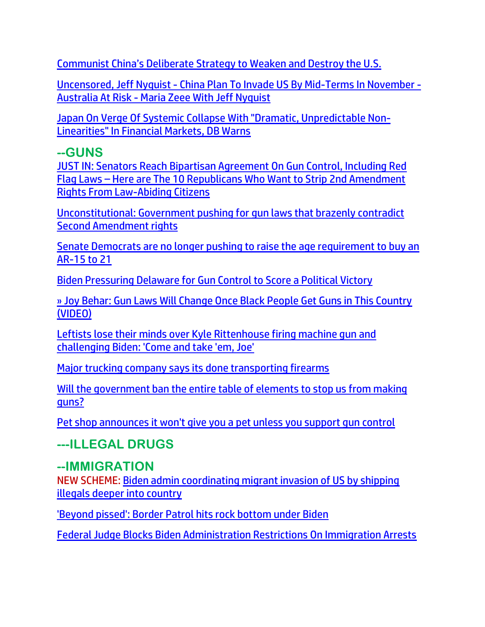Communist China's Del[iberate Strategy to Weaken and Destroy the U.S.](https://delivery.email.saraacarter.com/GUIDARZE?id=153976=eh4CVwZWCQQBTFYDUgwNUAZWVgxWUlYDWF1TBw9XVg1cVAcFBVwEAgQGVlADAQEAUgIeXlxdAxEKDCRUVABaVBcBXQtPVAYGAwcCAV8OBgQHAVIAAAAaChURFEADThxcXA5bEFYXSR1SXVJbChdGVUVTA1dWQxIHE0sHXFROdG1wJnM0aSAPWlNMRQE=&fl=URZGFkBfHxxDVV9XC1xBRl5XERpdVAMMBksHXFROUFRQAVk=&ext=dD1leUpoYkdjaU9pSklVekkxTmlJc0luUjVjQ0k2SWtwWFZDSjkuZXlKd0lqcGJiblZzYkN4dWRXeHNMQ0pvZEhSd2N6b3ZMM05oY21GaFkyRnlkR1Z5TG1OdmJTOWpiMjF0ZFc1cGMzUXRZMmhwYm1GekxXUmxiR2xpWlhKaGRHVXRjM1J5WVhSbFoza3RkRzh0ZDJWaGEyVnVMV0Z1WkMxa1pYTjBjbTk1TFhSb1pTMTFMWE12UDNWMGJWOXpiM1Z5WTJVOWFtVmxibWNtYW1WdFBXTTFZVE00TlRjd1l6QmhaR05qWTJZNFlXSXpaR001WW1JM01ESXpNMll6SWl4dWRXeHNMREVzWm1Gc2MyVXNabUZzYzJVc0ltUmtOVEEzTXpKa0xUTmpabUV0TkRWaU55MDROVEV4TFRabFpUSmhNRFl3WVRnM015SXNJak5oTXpCbU5tUTRMV0UzWkdVdE5HTTJZeTFoWmpreUxUWmpaR0UzT0RsaFlqQmhNQ0lzSWpoaFpqVTNNRGd3TFRsak1UTXROR0prTXkxaU9EWm1MVEJpTTJNMVpHWTVNV1l4WWlJc0ltaDBkSEJ6T2k4dmMyRnlZV0ZqWVhKMFpYSXVZMjl0TDJOdmJXMTFibWx6ZEMxamFHbHVZWE10WkdWc2FXSmxjbUYwWlMxemRISmhkR1ZuZVMxMGJ5MTNaV0ZyWlc0dFlXNWtMV1JsYzNSeWIza3RkR2hsTFhVdGN5OGlMQ0pqTjNBelh6QWlMQ0psYldGcGJDSXNJa1JUSWwwc0ltbGhkQ0k2TVRZMU5EYzNPVGd3TkgwLkNHSUhyaDZ1SVQxOVRmSkdMZzJQU01yODFxVHJpOU9HaWt4UzREZUxLRjA=)

Uncensored, Jeff Nyquist - [China Plan To Invade US By Mid-Terms In November -](https://ce-publiclw.naturalnews.com/ct.asp?id=6B0045582C2634ED122942F371F9EE72BA6ABB8F6F1BC35C3751F7253165D50A1CF31A22FFCEEB232D5FDBABC423B488&ct=4aeUsz4AAABCWmgzMUFZJlNZX7dIrgAAF5mAAAP1cDvj3IAgAFCmjQBoAAIp6nqPUep5E9T0mhtQw2ObtdGWsDmS866UcBqJQGH3RC6gUtJsz%2b%2bROA4hbTJDIN%2bLuSKcKEgv26RXAA%3d%3d) [Australia At Risk -](https://ce-publiclw.naturalnews.com/ct.asp?id=6B0045582C2634ED122942F371F9EE72BA6ABB8F6F1BC35C3751F7253165D50A1CF31A22FFCEEB232D5FDBABC423B488&ct=4aeUsz4AAABCWmgzMUFZJlNZX7dIrgAAF5mAAAP1cDvj3IAgAFCmjQBoAAIp6nqPUep5E9T0mhtQw2ObtdGWsDmS866UcBqJQGH3RC6gUtJsz%2b%2bROA4hbTJDIN%2bLuSKcKEgv26RXAA%3d%3d) Maria Zeee With Jeff Nyquist

[Japan On Verge Of Systemic Collapse With "Dramatic, Unpredictable Non-](https://www.zerohedge.com/markets/japan-verge-systemic-collapse-dramatic-unpredictable-non-linearities-financial-markets-bank)[Linearities" In Financial Markets, DB Warns](https://www.zerohedge.com/markets/japan-verge-systemic-collapse-dramatic-unpredictable-non-linearities-financial-markets-bank)

# **--GUNS**

[JUST IN: Senators Reach Bipartisan Agreement On Gun Control, Including Red](https://welovetrump.com/2022/06/12/just-in-senators-reach-bipartisan-agreement-on-gun-control-including-red-flag-laws-here-are-the-10-republicans-who-want-to-strip-2nd-amendment-rights-from-law-abiding-citizens/)  Flag Laws – [Here are The 10 Republicans Who Want to Strip 2nd Amendment](https://welovetrump.com/2022/06/12/just-in-senators-reach-bipartisan-agreement-on-gun-control-including-red-flag-laws-here-are-the-10-republicans-who-want-to-strip-2nd-amendment-rights-from-law-abiding-citizens/)  [Rights From Law-Abiding Citizens](https://welovetrump.com/2022/06/12/just-in-senators-reach-bipartisan-agreement-on-gun-control-including-red-flag-laws-here-are-the-10-republicans-who-want-to-strip-2nd-amendment-rights-from-law-abiding-citizens/)

[Unconstitutional: Government pushing for gun laws that brazenly contradict](https://ce-publicdy.naturalnews.com/ct.asp?id=C3E26CD882700DD50D2C588428FEE23695C0C13589DF25C0FBC0656A35212094F3469EDE951ACB4A33F217AA0DEEDA30&ct=4aeUs18AAABCWmgzMUFZJlNZw1GEGwAAF5mAAAPRMC7n34AgAFCgAADJkEU9Gg0xEaYmQoZSbX0AcbDIoC6vSlQTxa7BJOuGQX2gSOmYwp888V5CybqLw2Hc2WGuEtSG8XO8MaHaaG7P4u5IpwoSGGowg2A%3d)  [Second Amendment rights](https://ce-publicdy.naturalnews.com/ct.asp?id=C3E26CD882700DD50D2C588428FEE23695C0C13589DF25C0FBC0656A35212094F3469EDE951ACB4A33F217AA0DEEDA30&ct=4aeUs18AAABCWmgzMUFZJlNZw1GEGwAAF5mAAAPRMC7n34AgAFCgAADJkEU9Gg0xEaYmQoZSbX0AcbDIoC6vSlQTxa7BJOuGQX2gSOmYwp888V5CybqLw2Hc2WGuEtSG8XO8MaHaaG7P4u5IpwoSGGowg2A%3d)

[Senate Democrats are no longer pushing to raise the age requirement to buy an](https://link.theblaze.com/click/28028599.1043089/aHR0cHM6Ly93d3cudGhlYmxhemUuY29tL25ld3Mvc2VuYXRlLWRlbW9jcmF0cy1hcmUtbm8tbG9uZ2VyLXB1c2hpbmctdG8tcmFpc2UtdGhlLWFnZS1yZXF1aXJlbWVudC10by1idXktYW4tYXItMTUtdG8tMjE_dXRtX3NvdXJjZT10aGVibGF6ZS1kYWlseVBNJnV0bV9tZWRpdW09ZW1haWwmdXRtX2NhbXBhaWduPURhaWx5LU5ld3NsZXR0ZXJfX1BNIDIwMjItMDYtMTEmdXRtX3Rlcm09QUNUSVZFIExJU1QgLSBUaGVCbGF6ZSBEYWlseSBQTQ/61f82015384ca325d2cdab60Ceeef2ee4)  [AR-15 to 21](https://link.theblaze.com/click/28028599.1043089/aHR0cHM6Ly93d3cudGhlYmxhemUuY29tL25ld3Mvc2VuYXRlLWRlbW9jcmF0cy1hcmUtbm8tbG9uZ2VyLXB1c2hpbmctdG8tcmFpc2UtdGhlLWFnZS1yZXF1aXJlbWVudC10by1idXktYW4tYXItMTUtdG8tMjE_dXRtX3NvdXJjZT10aGVibGF6ZS1kYWlseVBNJnV0bV9tZWRpdW09ZW1haWwmdXRtX2NhbXBhaWduPURhaWx5LU5ld3NsZXR0ZXJfX1BNIDIwMjItMDYtMTEmdXRtX3Rlcm09QUNUSVZFIExJU1QgLSBUaGVCbGF6ZSBEYWlseSBQTQ/61f82015384ca325d2cdab60Ceeef2ee4)

[Biden Pressuring Delaware for Gun Control to Score a Political Victory](https://ratherexposethem.org/2022/06/11/biden-pressuring-delaware-for-gun-control-to-score-a-political-victory/)

[» Joy Behar: Gun Laws Will Change Once Black People Get Guns in This Country](https://trk.cp20.com/click/gak4-3nf9yf-8bp0jd-f4obzxf8/)  [\(VIDEO\)](https://trk.cp20.com/click/gak4-3nf9yf-8bp0jd-f4obzxf8/)

[Leftists lose their minds over Kyle Rittenhouse firing machine gun and](https://link.theblaze.com/click/27980147.918846/aHR0cHM6Ly93d3cudGhlYmxhemUuY29tL25ld3MvbGVmdGlzdHMta3lsZS1yaXR0ZW5ob3VzZS1tYWNoaW5lLWd1bj91dG1fc291cmNlPXRoZWJsYXplLTdEYXlUcmVuZGluZ1Rlc3QmdXRtX21lZGl1bT1lbWFpbCZ1dG1fY2FtcGFpZ249VGhlIEJsYXplIFBNIFRyZW5kaW5nIDIwMjItMDYtMDcmdXRtX3Rlcm09QUNUSVZFIExJU1QgLSA3IERheSBFbmdhZ2VtZW50/61f82015384ca325d2cdab60Cd3d35ba0)  [challenging Biden: 'Come and take 'em, Joe'](https://link.theblaze.com/click/27980147.918846/aHR0cHM6Ly93d3cudGhlYmxhemUuY29tL25ld3MvbGVmdGlzdHMta3lsZS1yaXR0ZW5ob3VzZS1tYWNoaW5lLWd1bj91dG1fc291cmNlPXRoZWJsYXplLTdEYXlUcmVuZGluZ1Rlc3QmdXRtX21lZGl1bT1lbWFpbCZ1dG1fY2FtcGFpZ249VGhlIEJsYXplIFBNIFRyZW5kaW5nIDIwMjItMDYtMDcmdXRtX3Rlcm09QUNUSVZFIExJU1QgLSA3IERheSBFbmdhZ2VtZW50/61f82015384ca325d2cdab60Cd3d35ba0)

[Major trucking company says its done transporting firearms](https://link.theblaze.com/click/27988280.943874/aHR0cHM6Ly93d3cudGhlYmxhemUuY29tL25ld3MvbWFqb3ItdHJ1Y2tpbmctY29tcGFueS1zYWlhLWJhbnMtZ3VuLXRyYW5zcG9ydD91dG1fc291cmNlPXRoZWJsYXplLTdEYXlUcmVuZGluZ1Rlc3QmdXRtX21lZGl1bT1lbWFpbCZ1dG1fY2FtcGFpZ249QWZ0ZXJub29uIEF1dG8gVHJlbmRpbmcgNyBEYXkgRW5nYWdlZCAyMDIyLTA2LTA4JnV0bV90ZXJtPUFDVElWRSBMSVNUIC0gNyBEYXkgRW5nYWdlbWVudA/61f82015384ca325d2cdab60C374159d1)

[Will the government ban the entire table of elements](https://ce-publiclw.naturalnews.com/ct.asp?id=8882EF3CBDF0BB8E477A57B752D2F79E90A28B413E3A49DE6A2C5EA102A65ACF879C0D720A7CCA6C389F330BD2251348&ct=4aeUsz4AAABCWmgzMUFZJlNZp%2fVfWwAAF5mAAAP%2f8D%2fj3IAgAEFT1NGyamhtCNMjahjAAAAACJIto2NE42gGcGy5k96Rc2YOpA8PdOhB2NVH291wyJkiq0FZX8XckU4UJCn9V9bA) to stop us from making [guns?](https://ce-publiclw.naturalnews.com/ct.asp?id=8882EF3CBDF0BB8E477A57B752D2F79E90A28B413E3A49DE6A2C5EA102A65ACF879C0D720A7CCA6C389F330BD2251348&ct=4aeUsz4AAABCWmgzMUFZJlNZp%2fVfWwAAF5mAAAP%2f8D%2fj3IAgAEFT1NGyamhtCNMjahjAAAAACJIto2NE42gGcGy5k96Rc2YOpA8PdOhB2NVH291wyJkiq0FZX8XckU4UJCn9V9bA)

[Pet shop announces it won't give you a pet unless you support gun control](https://www.wnd.com/2022/06/pet-shop-announces-wont-give-pet-unless-support-gun-control/)

**---ILLEGAL DRUGS**

# **--IMMIGRATION**

NEW SCHEME: [Biden admin coordinating migrant invasion of US by shipping](https://www.naturalnews.com/2022-06-13-biden-admin-coordinating-migrant-invasion-shipping-illegals.html)  [illegals deeper into country](https://www.naturalnews.com/2022-06-13-biden-admin-coordinating-migrant-invasion-shipping-illegals.html)

['Beyond pissed': Border Patrol hits rock bottom under Biden](https://www.wnd.com/2022/06/beyond-pissed-border-patrol-hits-rock-bottom-biden/)

[Federal Judge Blocks Biden Administration Restrictions On Immigration Arrests](https://www.zerohedge.com/political/federal-judge-blocks-biden-adminstration-restrictions-immigration-arrests)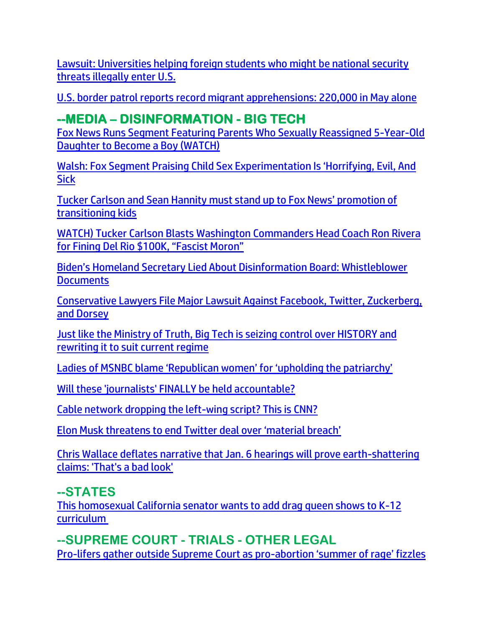[Lawsuit: Universities helping foreign students who might be national security](https://www.wnd.com/2022/06/lawsuit-universities-helping-foreign-students-might-national-security-threats-illegally-enter-u-s/)  [threats illegally enter U.S.](https://www.wnd.com/2022/06/lawsuit-universities-helping-foreign-students-might-national-security-threats-illegally-enter-u-s/)

[U.S. border patrol reports record migrant apprehensions: 220,000 in May alone](https://ratherexposethem.org/2022/06/10/u-s-border-patrol-reports-record-migrant-apprehensions-220000-in-may-alone/)

# **--MEDIA – DISINFORMATION - BIG TECH**

[Fox News Runs Segment Featuring Parents Who Sexually Reassigned 5-Year-Old](https://welovetrump.com/2022/06/11/fox-news-runs-segment-featuring-parents-who-sexually-reassigned-5-year-old-daughter-to-become-a-boy-watch/)  [Daughter to Become a Boy \(WATCH\)](https://welovetrump.com/2022/06/11/fox-news-runs-segment-featuring-parents-who-sexually-reassigned-5-year-old-daughter-to-become-a-boy-watch/)

[Walsh: Fox Segment Praising Child Sex Experimentation Is 'Horrifying, Evil, And](https://thefederalist.com/2022/06/10/matt-walsh-fox-news-segment-praising-child-sex-experimentation-is-horrifying-evil-and-sick/)  **[Sick](https://thefederalist.com/2022/06/10/matt-walsh-fox-news-segment-praising-child-sex-experimentation-is-horrifying-evil-and-sick/)** 

[Tucker Carlson and Sean Hannity must stand up to Fox News' promotion of](https://www.lifesitenews.com/blogs/tucker-carlson-and-sean-hannity-must-stand-up-to-fox-news-promotion-of-transitioning-kids/?utm_source=top_news&utm_campaign=usa)  [transitioning kids](https://www.lifesitenews.com/blogs/tucker-carlson-and-sean-hannity-must-stand-up-to-fox-news-promotion-of-transitioning-kids/?utm_source=top_news&utm_campaign=usa)

[WATCH\) Tucker Carlson Blasts Washington Commanders Head Coach Ron Rivera](https://welovetrump.com/2022/06/12/watch-tucker-carlson-blasts-washington-commanders-head-coach-ron-rivera-for-fining-del-rio-100k-fascist-moron/)  [for Fining Del Rio \\$100K, "Fascist Moron"](https://welovetrump.com/2022/06/12/watch-tucker-carlson-blasts-washington-commanders-head-coach-ron-rivera-for-fining-del-rio-100k-fascist-moron/)

Biden's Homeland [Secretary Lied About Disinformation Board: Whistleblower](https://lists.youmaker.com/links/QJallb07YE/Jlid8tcrj/7xAbPNiP2/sRt2rimgTy)  **[Documents](https://lists.youmaker.com/links/QJallb07YE/Jlid8tcrj/7xAbPNiP2/sRt2rimgTy)** 

[Conservative Lawyers File Major Lawsuit Against Facebook, Twitter, Zuckerberg,](https://lists.youmaker.com/links/SWLqUPVHrv/Jlid8tcrj/7xAbPNiP2/EXlqEtIxik)  [and Dorsey](https://lists.youmaker.com/links/SWLqUPVHrv/Jlid8tcrj/7xAbPNiP2/EXlqEtIxik)

[Just like the Ministry of Truth, Big Tech is seizing control over HISTORY and](https://www.naturalnews.com/2022-06-12-big-tech-seizing-control-over-history-rewriting-it-suit-current-regime.html)  [rewriting it to suit current regime](https://www.naturalnews.com/2022-06-12-big-tech-seizing-control-over-history-rewriting-it-suit-current-regime.html)

[Ladies of MSNBC blame 'Republican women' for 'upholding the patriarchy'](https://delivery.email.saraacarter.com/GUIDARZE?id=153976=eh4CVwZWCQQBTAAAUQ9QAlMKBAwEUFRRUAZXAQpQAAwLUFAHUFxRAlQDBFQCCFAGA1MeXlxdAxEKDCRUVABaVBcBXQtPVAYGAwcCAV8PBAwFBVENBAUaChURFEADThxcXA5bEFYXSR1SXVJbChdGVUVTA1dWQxIHE0sHXFROdG1wJnM0aSAPWlNMRQE=&fl=URZGFkBfHxxDVV9XC1xBRl5XERpdVAMMBksHXFROUFRQAVk=&ext=dD1leUpoYkdjaU9pSklVekkxTmlJc0luUjVjQ0k2SWtwWFZDSjkuZXlKd0lqcGJiblZzYkN4dWRXeHNMQ0pvZEhSd2N6b3ZMM05oY21GaFkyRnlkR1Z5TG1OdmJTOXNZV1JwWlhNdGIyWXRiWE51WW1NdFlteGhiV1V0Y21Wd2RXSnNhV05oYmkxM2IyMWxiaTFtYjNJdGRYQm9iMnhrYVc1bkxYUm9aUzF3WVhSeWFXRnlZMmg1THo5MWRHMWZjMjkxY21ObFBXcGxaVzVuSm1wbGJUMWpOV0V6T0RVM01HTXdZV1JqWTJObU9HRmlNMlJqT1dKaU56QXlNek5tTXlJc2JuVnNiQ3d4TEdaaGJITmxMR1poYkhObExDSmtaRFV3TnpNeVpDMHpZMlpoTFRRMVlqY3RPRFV4TVMwMlpXVXlZVEEyTUdFNE56TWlMQ0psTUdFeVptSm1OaTB4WlRRMkxUUXlNbUl0WWpNeU9DMHhPRGczT1RSbFptSmxZellpTENJNFlXWTFOekE0TUMwNVl6RXpMVFJpWkRNdFlqZzJaaTB3WWpOak5XUm1PVEZtTVdJaUxDSm9kSFJ3Y3pvdkwzTmhjbUZoWTJGeWRHVnlMbU52YlM5c1lXUnBaWE10YjJZdGJYTnVZbU10WW14aGJXVXRjbVZ3ZFdKc2FXTmhiaTEzYjIxbGJpMW1iM0l0ZFhCb2IyeGthVzVuTFhSb1pTMXdZWFJ5YVdGeVkyaDVMeUlzSW1NM2NETmZNQ0lzSW1WdFlXbHNJaXdpUkZNaVhTd2lhV0YwSWpveE5qVTBOekl5TVRRMWZRLjFYN1prejFXMWtBZDdFWXpieTB4TC1ZbHQwVlcxdlc2d3J1THBjV0xhNXM=)

[Will these 'journalists' FINALLY be held accountable?](https://link.theblaze.com/click/27987013.1150306/aHR0cHM6Ly93d3cudGhlYmxhemUuY29tL3Nob3dzL3RoZS1uZXdzLXdoeS1pdC1tYXR0ZXJzL2NvcHktZWRpdC13aWxsLXRoZXNlLWpvdXJuYWxpc3RzLWZpbmFsbHktYmUtaGVsZC1hY2NvdW50YWJsZT91dG1fc291cmNlPXRoZWJsYXplLWJyZWFraW5nJnV0bV9tZWRpdW09ZW1haWwmdXRtX2NhbXBhaWduPTIwMjIwNjA5U3BvbnNvcmVkVHJlbmRpbmctUmV2ZWxhdGlvbk1lZGlhJnV0bV90ZXJtPUFDVElWRSBMSVNUIC0gVGhlQmxhemUgQnJlYWtpbmcgTmV3cw/61f82015384ca325d2cdab60C0643599e)

[Cable network dropping the left-wing script? This is CNN?](https://inform.afa.net/optiext/optiextension.dll?ID=lPOlUg0OrgDk4V%2BaF3Trar38JDaOfrDCRYgFRWaALWhzA6P7I2WMdAxJjBo7lbsLacDHVhf_HNM5gz5LZPlhiG4g454J4KsOSIRxvolk)

[Elon Musk threatens to end Twitter deal over 'material breach'](https://delivery.email.saraacarter.com/GUIDARZE?id=153976=eh4CVwZWCQQBTFBXUg0AVlQGVVYFUldWAldUUQ4CAVwBVQEAUFxRAgMHAVBRWgAEBFMeXlxdAxEKDCRUVABaVBcBXQtPVAYGAwgDAlUPBwQPBVEFDwAaChURFEADThxcXA5bEFYXSR1SXVJbChdGVUVTA1dWQxIHE0sHXFROdG1wJnM0aSAPWlNMRQE=&fl=URZGFkBfHxxDVV9XC1xBRl5XERpdVAMMBksHXFROUFRQAVk=&ext=dD1leUpoYkdjaU9pSklVekkxTmlJc0luUjVjQ0k2SWtwWFZDSjkuZXlKd0lqcGJiblZzYkN4dWRXeHNMQ0pvZEhSd2N6b3ZMM05oY21GaFkyRnlkR1Z5TG1OdmJTOWxiRzl1TFcxMWMyc3RkR2h5WldGMFpXNXpMWFJ2TFdWdVpDMTBkMmwwZEdWeUxXUmxZV3d0YjNabGNpMXRZWFJsY21saGJDMWljbVZoWTJndlAzVjBiVjl6YjNWeVkyVTlhbVZsYm1jbWFtVnRQV00xWVRNNE5UY3dZekJoWkdOalkyWTRZV0l6WkdNNVltSTNNREl6TTJZeklpeHVkV3hzTERFc1ptRnNjMlVzWm1Gc2MyVXNJbVJrTlRBM016SmtMVE5qWm1FdE5EVmlOeTA0TlRFeExUWmxaVEpoTURZd1lUZzNNeUlzSWpNNVpHTTJNVGRqTFRWak5qSXRORFE1TlMwNVpqbGhMVFpqWTJRd05tWTVPV0V3TnlJc0lqaGhaalUzTURnd0xUbGpNVE10TkdKa015MWlPRFptTFRCaU0yTTFaR1k1TVdZeFlpSXNJbWgwZEhCek9pOHZjMkZ5WVdGallYSjBaWEl1WTI5dEwyVnNiMjR0YlhWemF5MTBhSEpsWVhSbGJuTXRkRzh0Wlc1a0xYUjNhWFIwWlhJdFpHVmhiQzF2ZG1WeUxXMWhkR1Z5YVdGc0xXSnlaV0ZqYUM4aUxDSmpOM0F6WHpBaUxDSmxiV0ZwYkNJc0lrUlRJbDBzSW1saGRDSTZNVFkxTkRnd09EVTNOWDAuYlJxTGp5MlprdnhmT1hjZ0x3QXRpSTR1ZmI3SzVoNlVxSGxYeldfOWVzYw==)

[Chris Wallace deflates narrative that Jan. 6 hearings will prove earth-shattering](https://link.theblaze.com/click/28001125.1152963/aHR0cHM6Ly93d3cudGhlYmxhemUuY29tL25ld3MvY2hyaXMtd2FsbGFjZS1za2VwdGljYWwtamFuLTYtaGVhcmluZ3M_dXRtX3NvdXJjZT10aGVibGF6ZS1icmVha2luZyZ1dG1fbWVkaXVtPWVtYWlsJnV0bV9jYW1wYWlnbj0yMDIyMDYxMFNwb25zb3JlZFRyZW5kaW5nLUdyaXA2JnV0bV90ZXJtPUFDVElWRSBMSVNUIC0gVGhlQmxhemUgQnJlYWtpbmcgTmV3cw/61f82015384ca325d2cdab60C8ce6a1ab)  [claims: 'That's a bad look'](https://link.theblaze.com/click/28001125.1152963/aHR0cHM6Ly93d3cudGhlYmxhemUuY29tL25ld3MvY2hyaXMtd2FsbGFjZS1za2VwdGljYWwtamFuLTYtaGVhcmluZ3M_dXRtX3NvdXJjZT10aGVibGF6ZS1icmVha2luZyZ1dG1fbWVkaXVtPWVtYWlsJnV0bV9jYW1wYWlnbj0yMDIyMDYxMFNwb25zb3JlZFRyZW5kaW5nLUdyaXA2JnV0bV90ZXJtPUFDVElWRSBMSVNUIC0gVGhlQmxhemUgQnJlYWtpbmcgTmV3cw/61f82015384ca325d2cdab60C8ce6a1ab)

# **--STATES**

[This homosexual California senator wants to add drag queen shows to K-12](https://www.lifesitenews.com/blogs/this-homosexual-california-senator-wants-to-add-drag-queen-shows-to-k-12-curriculum/)  [curriculum](https://www.lifesitenews.com/blogs/this-homosexual-california-senator-wants-to-add-drag-queen-shows-to-k-12-curriculum/)

**--SUPREME COURT - TRIALS - OTHER LEGAL** [Pro-lifers gather outside Supreme Court as pro-](https://www.lifesitenews.com/news/pro-lifers-gather-outside-supreme-court-as-pro-abortion-summer-of-rage-fizzles/?utm_source=featured&utm_campaign=usa)abortion 'summer of rage' fizzles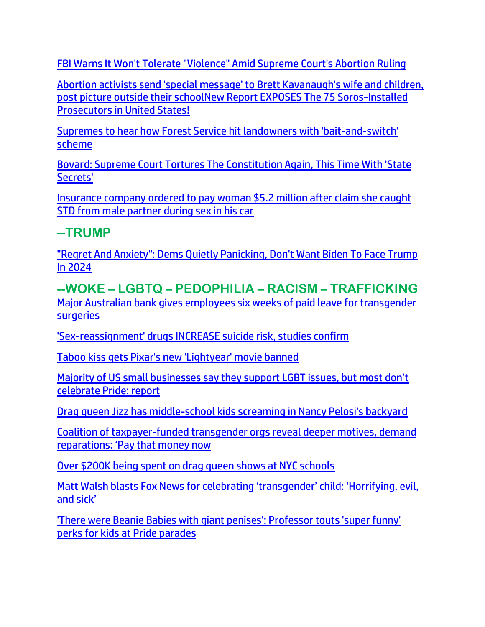[FBI Warns It Won't Tolerate "Violence" Amid Supreme Court's Abortion Ruling](https://www.zerohedge.com/political/fbi-warns-it-wont-tolerate-violence-amid-supreme-courts-abortion-ruling)

[Abortion activists send 'special message' to Brett Kavanaugh's wife and children,](https://link.theblaze.com/click/27987013.1150306/aHR0cHM6Ly93d3cudGhlYmxhemUuY29tL25ld3MvcnV0aC1zZW50LXVzLW1lc3NhZ2UtYnJldHQta2F2YW5hdWdoLXdpZmUtYW5kLWNoaWxkcmVuP3V0bV9zb3VyY2U9dGhlYmxhemUtYnJlYWtpbmcmdXRtX21lZGl1bT1lbWFpbCZ1dG1fY2FtcGFpZ249MjAyMjA2MDlTcG9uc29yZWRUcmVuZGluZy1SZXZlbGF0aW9uTWVkaWEmdXRtX3Rlcm09QUNUSVZFIExJU1QgLSBUaGVCbGF6ZSBCcmVha2luZyBOZXdz/61f82015384ca325d2cdab60Cad1227f5)  [post picture outside their school](https://link.theblaze.com/click/27987013.1150306/aHR0cHM6Ly93d3cudGhlYmxhemUuY29tL25ld3MvcnV0aC1zZW50LXVzLW1lc3NhZ2UtYnJldHQta2F2YW5hdWdoLXdpZmUtYW5kLWNoaWxkcmVuP3V0bV9zb3VyY2U9dGhlYmxhemUtYnJlYWtpbmcmdXRtX21lZGl1bT1lbWFpbCZ1dG1fY2FtcGFpZ249MjAyMjA2MDlTcG9uc29yZWRUcmVuZGluZy1SZXZlbGF0aW9uTWVkaWEmdXRtX3Rlcm09QUNUSVZFIExJU1QgLSBUaGVCbGF6ZSBCcmVha2luZyBOZXdz/61f82015384ca325d2cdab60Cad1227f5)[New Report EXPOSES The 75 Soros-Installed](https://welovetrump.com/2022/06/09/new-report-exposes-the-75-soros-installed-prosecutors-in-united-states/)  [Prosecutors in United States!](https://welovetrump.com/2022/06/09/new-report-exposes-the-75-soros-installed-prosecutors-in-united-states/)

[Supremes to hear how Forest Service hit](https://www.wnd.com/2022/06/supremes-hear-forest-service-hit-landowners-bait-switch-scheme/) landowners with 'bait-and-switch' [scheme](https://www.wnd.com/2022/06/supremes-hear-forest-service-hit-landowners-bait-switch-scheme/)

[Bovard: Supreme Court Tortures The Constitution Again, This Time With 'State](https://www.zerohedge.com/political/bovard-supreme-court-tortures-constitution-again-time-state-secrets)  [Secrets'](https://www.zerohedge.com/political/bovard-supreme-court-tortures-constitution-again-time-state-secrets)

[Insurance company ordered to pay woman \\$5.2 million after claim she caught](https://link.theblaze.com/click/28009534.1060797/aHR0cHM6Ly93d3cudGhlYmxhemUuY29tL25ld3MvZ2VpY28tNS1taWxsaW9uLXN0ZC1jYXI_dXRtX3NvdXJjZT10aGVibGF6ZS1kYWlseUFNJnV0bV9tZWRpdW09ZW1haWwmdXRtX2NhbXBhaWduPURhaWx5LU5ld3NsZXR0ZXJfX0FNIDIwMjItMDYtMTAmdXRtX3Rlcm09QUNUSVZFIExJU1QgLSBUaGVCbGF6ZSBEYWlseSBBTQ/61f82015384ca325d2cdab60Cff1f9a03)  [STD from male partner during sex in his car](https://link.theblaze.com/click/28009534.1060797/aHR0cHM6Ly93d3cudGhlYmxhemUuY29tL25ld3MvZ2VpY28tNS1taWxsaW9uLXN0ZC1jYXI_dXRtX3NvdXJjZT10aGVibGF6ZS1kYWlseUFNJnV0bV9tZWRpdW09ZW1haWwmdXRtX2NhbXBhaWduPURhaWx5LU5ld3NsZXR0ZXJfX0FNIDIwMjItMDYtMTAmdXRtX3Rlcm09QUNUSVZFIExJU1QgLSBUaGVCbGF6ZSBEYWlseSBBTQ/61f82015384ca325d2cdab60Cff1f9a03)

## **--TRUMP**

["Regret And Anxiety": Dems Quietly Panicking, Don't Want Biden To Face Trump](https://www.zerohedge.com/political/regret-and-anxiety-dems-quietly-panicking-dont-want-biden-face-trump-2024)  [In 2024](https://www.zerohedge.com/political/regret-and-anxiety-dems-quietly-panicking-dont-want-biden-face-trump-2024)

**--WOKE – LGBTQ – PEDOPHILIA – RACISM – TRAFFICKING** [Major Australian bank gives employees six weeks of paid leave for transgender](https://www.lifesitenews.com/blogs/major-australian-bank-gives-employees-six-weeks-of-paid-leave-for-trans-surgeries/?utm_source=top_news&utm_campaign=usa)  **[surgeries](https://www.lifesitenews.com/blogs/major-australian-bank-gives-employees-six-weeks-of-paid-leave-for-trans-surgeries/?utm_source=top_news&utm_campaign=usa)** 

['Sex-reassignment' drugs INCREASE suicide risk, studies confirm](https://www.wnd.com/2022/06/sex-reassignment-drugs-increase-suicide-risk-studies-confirm/)

[Taboo kiss gets Pixar's new 'Lightyear' movie banned](https://www.wnd.com/2022/06/taboo-kiss-gets-pixars-new-lightyear-movie-banned/)

Majority of [US small businesses say they support LGBT issues, but most don't](https://www.lifesitenews.com/news/majority-of-us-small-businesses-say-they-support-lgbt-issues-but-most-dont-celebrate-pride-report/?utm_source=top_news&utm_campaign=usa)  [celebrate Pride: report](https://www.lifesitenews.com/news/majority-of-us-small-businesses-say-they-support-lgbt-issues-but-most-dont-celebrate-pride-report/?utm_source=top_news&utm_campaign=usa)

[Drag queen Jizz has middle-school kids screaming in Nancy Pelosi's backyard](https://www.wnd.com/2022/06/drag-queen-jizz-middle-school-kids-screaming-nancy-pelosis-backyard/)

[Coalition of taxpayer-funded transgender orgs reveal deeper motives, demand](https://americanwirenews.com/coalition-of-taxpayer-funded-transgender-orgs-reveal-deeper-motives-demand-reparations-pay-that-money-now/)  reparati[ons: 'Pay that money now](https://americanwirenews.com/coalition-of-taxpayer-funded-transgender-orgs-reveal-deeper-motives-demand-reparations-pay-that-money-now/)

[Over \\$200K being spent on drag queen shows at NYC schools](https://nypost.com/2022/06/11/over-200k-being-spent-on-drag-queen-shows-at-nyc-schools/?utm_campaign=SocialFlow&utm_medium=SocialFlow&utm_source=NYPTwitter)

[Matt Walsh blasts Fox News for celebrating 'transgender' child:](https://www.lifesitenews.com/news/matt-walsh-blasts-fox-news-transgender-kid-celebration-horrifying-evil-and-sick/?utm_source=featured&utm_campaign=usa) 'Horrifying, evil, [and sick'](https://www.lifesitenews.com/news/matt-walsh-blasts-fox-news-transgender-kid-celebration-horrifying-evil-and-sick/?utm_source=featured&utm_campaign=usa)

['There were Beanie Babies with giant penises': Professor touts 'super funny'](https://link.theblaze.com/click/27977024.1146734/aHR0cHM6Ly93d3cudGhlYmxhemUuY29tL3Nob3dzL3BhdC1ncmF5LXVubGVhc2hlZC9raWRzLWF0LXByaWRlLXBhcmFkZXM_dXRtX3NvdXJjZT10aGVibGF6ZS1icmVha2luZyZ1dG1fbWVkaXVtPWVtYWlsJnV0bV9jYW1wYWlnbj0yMDIyMDYwN1RyZW5kaW5nLUtpZFJvY2tUdWNrZXJDYXJsc29uJnV0bV90ZXJtPUFDVElWRSBMSVNUIC0gVGhlQmxhemUgQnJlYWtpbmcgTmV3cw/61f82015384ca325d2cdab60Cc8ad3fa0)  [perks for kids at Pride parades](https://link.theblaze.com/click/27977024.1146734/aHR0cHM6Ly93d3cudGhlYmxhemUuY29tL3Nob3dzL3BhdC1ncmF5LXVubGVhc2hlZC9raWRzLWF0LXByaWRlLXBhcmFkZXM_dXRtX3NvdXJjZT10aGVibGF6ZS1icmVha2luZyZ1dG1fbWVkaXVtPWVtYWlsJnV0bV9jYW1wYWlnbj0yMDIyMDYwN1RyZW5kaW5nLUtpZFJvY2tUdWNrZXJDYXJsc29uJnV0bV90ZXJtPUFDVElWRSBMSVNUIC0gVGhlQmxhemUgQnJlYWtpbmcgTmV3cw/61f82015384ca325d2cdab60Cc8ad3fa0)